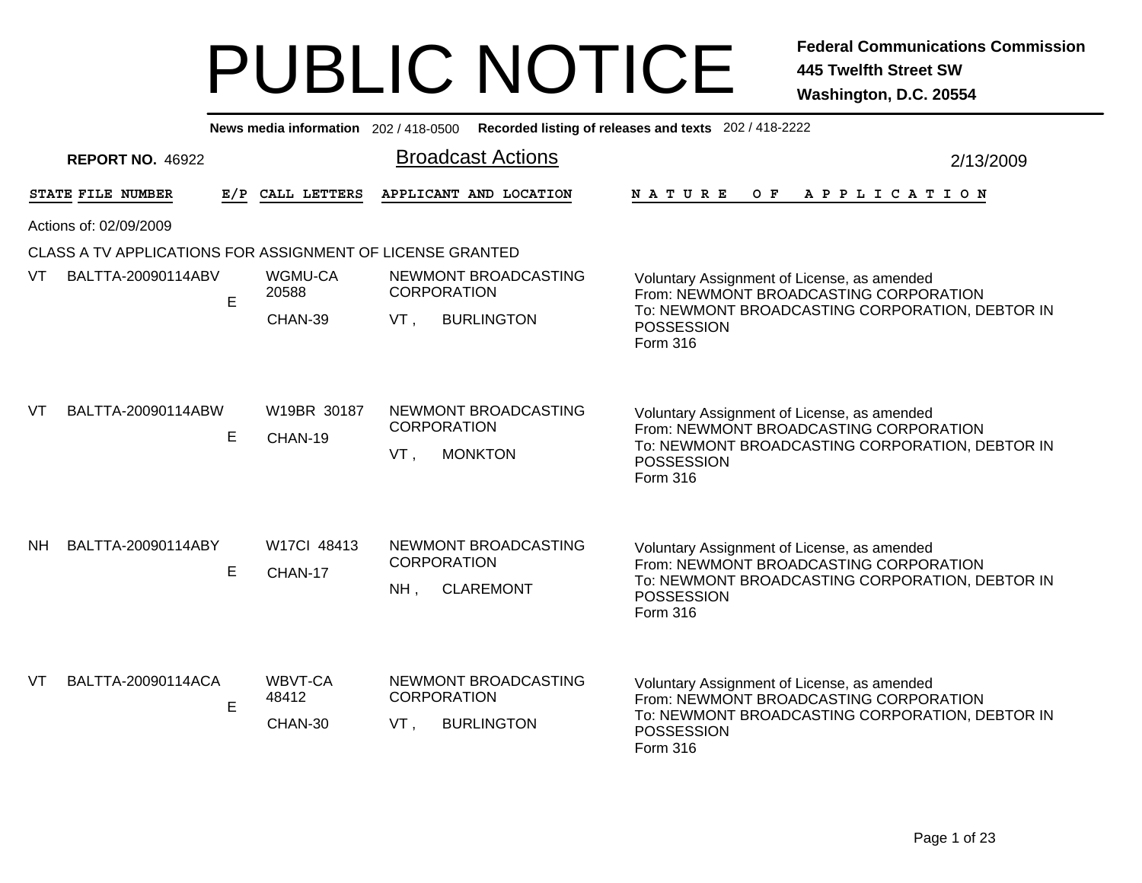|                        |                                                           |    |                        |                                                |  | News media information 202 / 418-0500 Recorded listing of releases and texts 202 / 418-2222                                       |           |  |  |
|------------------------|-----------------------------------------------------------|----|------------------------|------------------------------------------------|--|-----------------------------------------------------------------------------------------------------------------------------------|-----------|--|--|
|                        | <b>REPORT NO. 46922</b>                                   |    |                        | <b>Broadcast Actions</b>                       |  |                                                                                                                                   | 2/13/2009 |  |  |
|                        | STATE FILE NUMBER                                         |    | E/P CALL LETTERS       | APPLICANT AND LOCATION                         |  | N A T U R E<br>O F<br>A P P L I C A T I O N                                                                                       |           |  |  |
| Actions of: 02/09/2009 |                                                           |    |                        |                                                |  |                                                                                                                                   |           |  |  |
|                        | CLASS A TV APPLICATIONS FOR ASSIGNMENT OF LICENSE GRANTED |    |                        |                                                |  |                                                                                                                                   |           |  |  |
| VT                     | BALTTA-20090114ABV                                        | E. | WGMU-CA<br>20588       | NEWMONT BROADCASTING<br><b>CORPORATION</b>     |  | Voluntary Assignment of License, as amended<br>From: NEWMONT BROADCASTING CORPORATION                                             |           |  |  |
|                        |                                                           |    | CHAN-39                | VT.<br><b>BURLINGTON</b>                       |  | To: NEWMONT BROADCASTING CORPORATION, DEBTOR IN<br><b>POSSESSION</b><br>Form 316                                                  |           |  |  |
| VT                     | BALTTA-20090114ABW                                        | E  | W19BR 30187<br>CHAN-19 | NEWMONT BROADCASTING<br><b>CORPORATION</b>     |  | Voluntary Assignment of License, as amended<br>From: NEWMONT BROADCASTING CORPORATION                                             |           |  |  |
|                        |                                                           |    |                        | <b>MONKTON</b><br>VT.                          |  | To: NEWMONT BROADCASTING CORPORATION, DEBTOR IN<br><b>POSSESSION</b><br>Form 316                                                  |           |  |  |
| <b>NH</b>              | BALTTA-20090114ABY                                        |    | W17Cl 48413            | NEWMONT BROADCASTING<br><b>CORPORATION</b>     |  | Voluntary Assignment of License, as amended                                                                                       |           |  |  |
|                        |                                                           | E  | CHAN-17                | <b>CLAREMONT</b><br>NH.                        |  | From: NEWMONT BROADCASTING CORPORATION<br>To: NEWMONT BROADCASTING CORPORATION, DEBTOR IN<br><b>POSSESSION</b><br><b>Form 316</b> |           |  |  |
| VT                     | BALTTA-20090114ACA                                        |    | WBVT-CA                | NEWMONT BROADCASTING                           |  | Voluntary Assignment of License, as amended                                                                                       |           |  |  |
|                        |                                                           | E  | 48412<br>CHAN-30       | <b>CORPORATION</b><br>VT,<br><b>BURLINGTON</b> |  | From: NEWMONT BROADCASTING CORPORATION<br>To: NEWMONT BROADCASTING CORPORATION, DEBTOR IN<br><b>POSSESSION</b><br>Form 316        |           |  |  |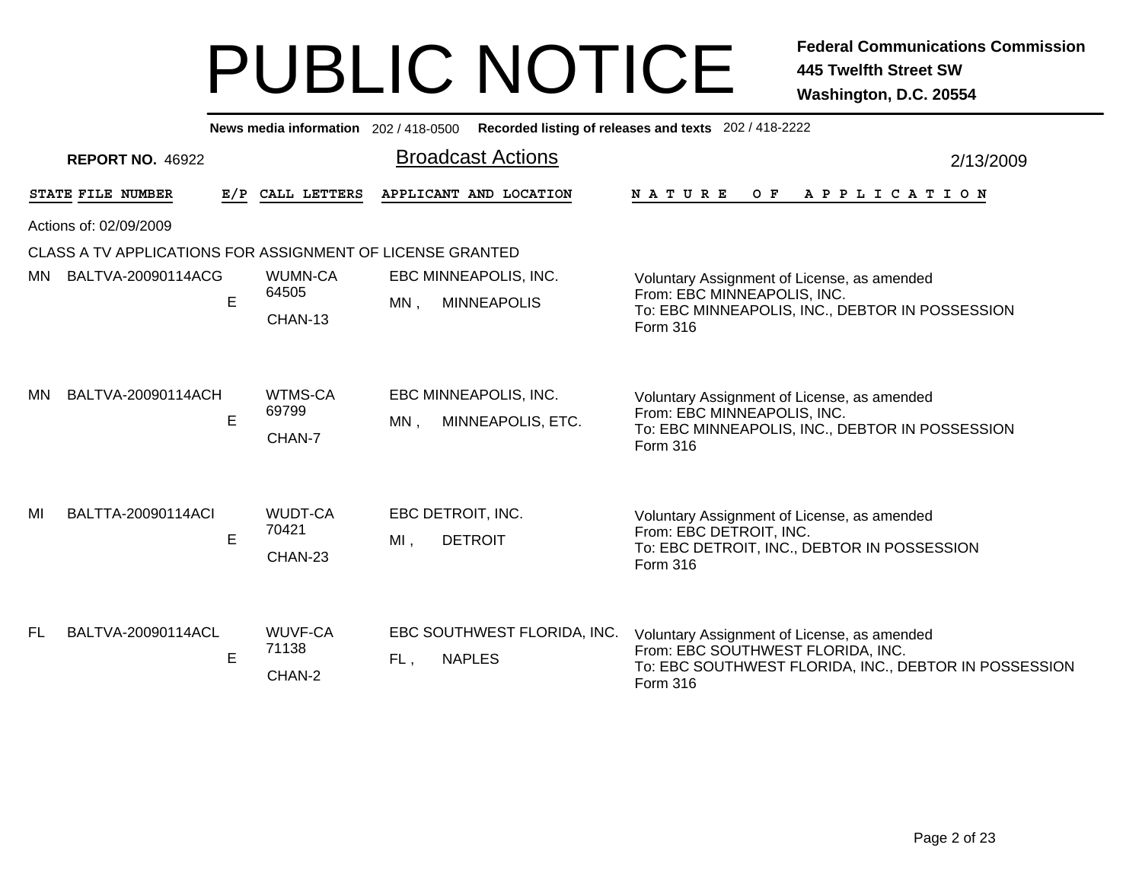|                        |                                                           |   | News media information 202 / 418-0500 |                                                      | Recorded listing of releases and texts 202 / 418-2222                                                                                                 |           |  |  |  |
|------------------------|-----------------------------------------------------------|---|---------------------------------------|------------------------------------------------------|-------------------------------------------------------------------------------------------------------------------------------------------------------|-----------|--|--|--|
|                        | <b>REPORT NO. 46922</b>                                   |   |                                       | <b>Broadcast Actions</b>                             |                                                                                                                                                       | 2/13/2009 |  |  |  |
|                        | STATE FILE NUMBER                                         |   | E/P CALL LETTERS                      | APPLICANT AND LOCATION                               | <b>NATURE</b><br>O F<br>A P P L I C A T I O N                                                                                                         |           |  |  |  |
| Actions of: 02/09/2009 |                                                           |   |                                       |                                                      |                                                                                                                                                       |           |  |  |  |
|                        | CLASS A TV APPLICATIONS FOR ASSIGNMENT OF LICENSE GRANTED |   |                                       |                                                      |                                                                                                                                                       |           |  |  |  |
| MN.                    | BALTVA-20090114ACG                                        | E | WUMN-CA<br>64505<br>CHAN-13           | EBC MINNEAPOLIS, INC.<br>MN,<br><b>MINNEAPOLIS</b>   | Voluntary Assignment of License, as amended<br>From: EBC MINNEAPOLIS, INC.<br>To: EBC MINNEAPOLIS, INC., DEBTOR IN POSSESSION<br>Form 316             |           |  |  |  |
| MN.                    | BALTVA-20090114ACH                                        | E | WTMS-CA<br>69799<br>CHAN-7            | EBC MINNEAPOLIS, INC.<br>$MN$ ,<br>MINNEAPOLIS, ETC. | Voluntary Assignment of License, as amended<br>From: EBC MINNEAPOLIS, INC.<br>To: EBC MINNEAPOLIS, INC., DEBTOR IN POSSESSION<br>Form 316             |           |  |  |  |
| MI                     | BALTTA-20090114ACI                                        | E | <b>WUDT-CA</b><br>70421<br>CHAN-23    | EBC DETROIT, INC.<br><b>DETROIT</b><br>$MI$ ,        | Voluntary Assignment of License, as amended<br>From: EBC DETROIT, INC.<br>To: EBC DETROIT, INC., DEBTOR IN POSSESSION<br>Form 316                     |           |  |  |  |
| FL.                    | BALTVA-20090114ACL                                        | E | WUVF-CA<br>71138<br>CHAN-2            | EBC SOUTHWEST FLORIDA, INC.<br>FL,<br><b>NAPLES</b>  | Voluntary Assignment of License, as amended<br>From: EBC SOUTHWEST FLORIDA, INC.<br>To: EBC SOUTHWEST FLORIDA, INC., DEBTOR IN POSSESSION<br>Form 316 |           |  |  |  |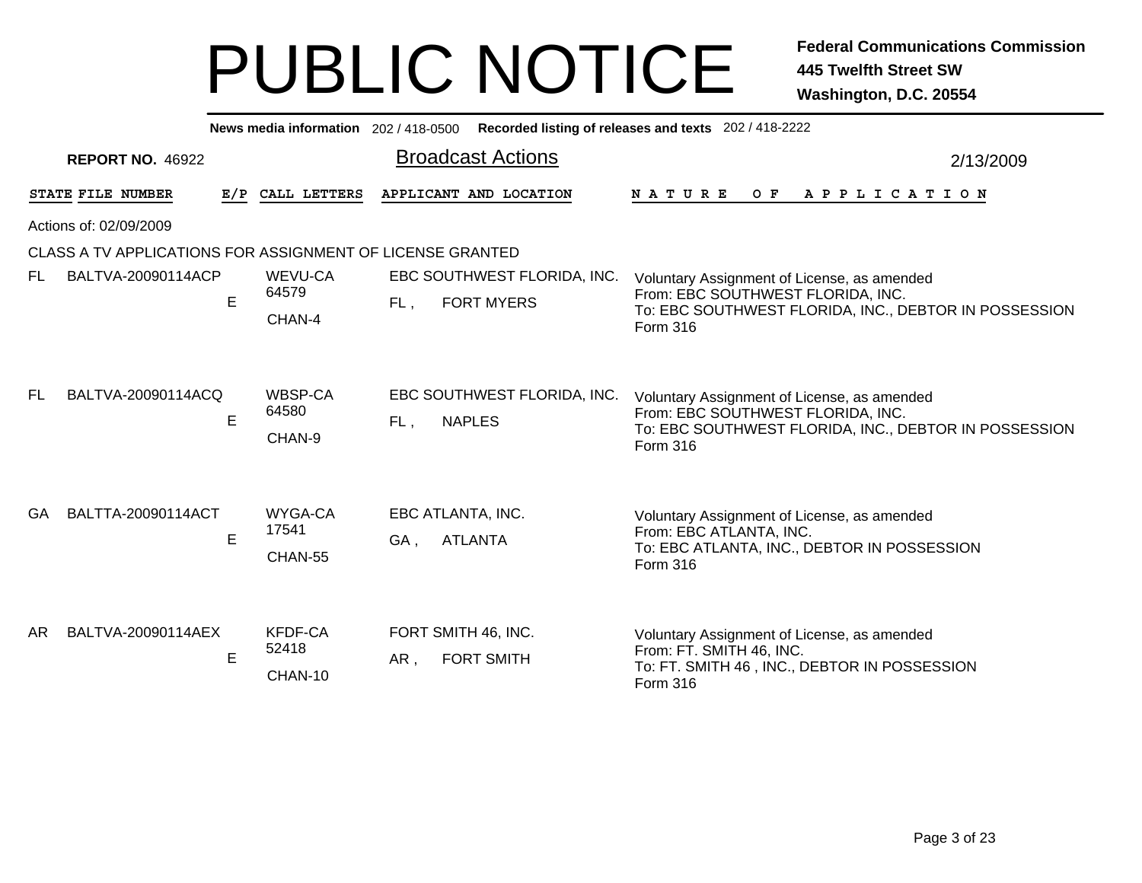|     | News media information 202/418-0500 Recorded listing of releases and texts 202/418-2222 |             |                             |                                                         |                                                                                                                                                              |           |  |  |  |  |  |
|-----|-----------------------------------------------------------------------------------------|-------------|-----------------------------|---------------------------------------------------------|--------------------------------------------------------------------------------------------------------------------------------------------------------------|-----------|--|--|--|--|--|
|     | <b>REPORT NO. 46922</b>                                                                 |             |                             | <b>Broadcast Actions</b>                                |                                                                                                                                                              | 2/13/2009 |  |  |  |  |  |
|     | STATE FILE NUMBER                                                                       | E/P         | CALL LETTERS                | APPLICANT AND LOCATION                                  | NATURE<br>$O$ $F$<br>A P P L I C A T I O N                                                                                                                   |           |  |  |  |  |  |
|     | Actions of: 02/09/2009                                                                  |             |                             |                                                         |                                                                                                                                                              |           |  |  |  |  |  |
|     | CLASS A TV APPLICATIONS FOR ASSIGNMENT OF LICENSE GRANTED                               |             |                             |                                                         |                                                                                                                                                              |           |  |  |  |  |  |
| FL. | BALTVA-20090114ACP                                                                      | $\mathsf E$ | WEVU-CA<br>64579<br>CHAN-4  | EBC SOUTHWEST FLORIDA, INC.<br><b>FORT MYERS</b><br>FL, | Voluntary Assignment of License, as amended<br>From: EBC SOUTHWEST FLORIDA, INC.<br>To: EBC SOUTHWEST FLORIDA, INC., DEBTOR IN POSSESSION<br><b>Form 316</b> |           |  |  |  |  |  |
| FL. | BALTVA-20090114ACQ                                                                      | E           | WBSP-CA<br>64580<br>CHAN-9  | EBC SOUTHWEST FLORIDA, INC.<br>FL,<br><b>NAPLES</b>     | Voluntary Assignment of License, as amended<br>From: EBC SOUTHWEST FLORIDA, INC.<br>To: EBC SOUTHWEST FLORIDA, INC., DEBTOR IN POSSESSION<br><b>Form 316</b> |           |  |  |  |  |  |
| GA. | BALTTA-20090114ACT                                                                      | E           | WYGA-CA<br>17541<br>CHAN-55 | EBC ATLANTA, INC.<br><b>ATLANTA</b><br>GA,              | Voluntary Assignment of License, as amended<br>From: EBC ATLANTA, INC.<br>To: EBC ATLANTA, INC., DEBTOR IN POSSESSION<br>Form 316                            |           |  |  |  |  |  |
| AR. | BALTVA-20090114AEX                                                                      | E           | KFDF-CA<br>52418<br>CHAN-10 | FORT SMITH 46, INC.<br>AR,<br><b>FORT SMITH</b>         | Voluntary Assignment of License, as amended<br>From: FT. SMITH 46, INC.<br>To: FT. SMITH 46, INC., DEBTOR IN POSSESSION<br>Form 316                          |           |  |  |  |  |  |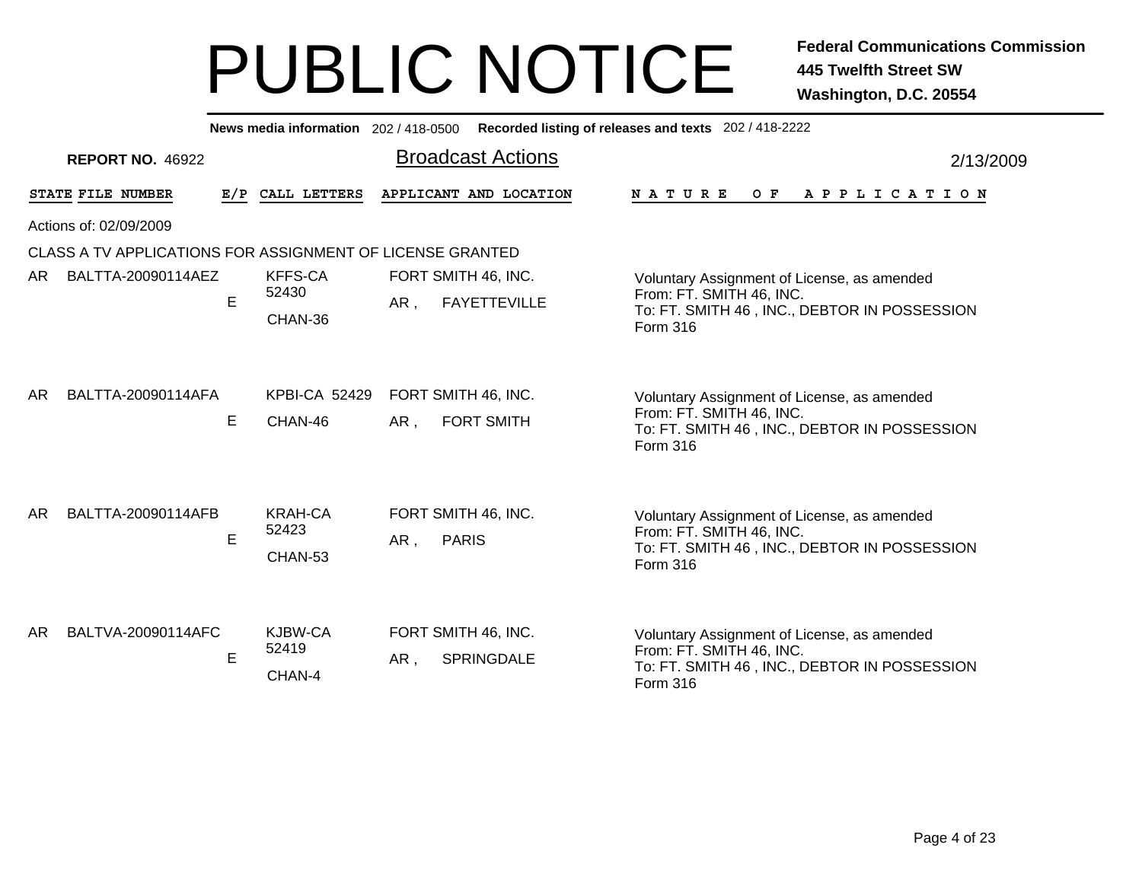|           | News media information 202/418-0500 Recorded listing of releases and texts 202/418-2222 |     |                                    |                                                   |                                                                                                                                            |  |  |  |  |  |
|-----------|-----------------------------------------------------------------------------------------|-----|------------------------------------|---------------------------------------------------|--------------------------------------------------------------------------------------------------------------------------------------------|--|--|--|--|--|
|           | <b>REPORT NO. 46922</b>                                                                 |     |                                    | <b>Broadcast Actions</b>                          | 2/13/2009                                                                                                                                  |  |  |  |  |  |
|           | STATE FILE NUMBER                                                                       | E/P | CALL LETTERS                       | APPLICANT AND LOCATION                            | <b>NATURE</b><br>$O$ $F$<br>A P P L I C A T I O N                                                                                          |  |  |  |  |  |
|           | Actions of: 02/09/2009                                                                  |     |                                    |                                                   |                                                                                                                                            |  |  |  |  |  |
|           | CLASS A TV APPLICATIONS FOR ASSIGNMENT OF LICENSE GRANTED                               |     |                                    |                                                   |                                                                                                                                            |  |  |  |  |  |
| AR        | BALTTA-20090114AEZ                                                                      | E   | <b>KFFS-CA</b><br>52430<br>CHAN-36 | FORT SMITH 46, INC.<br><b>FAYETTEVILLE</b><br>AR, | Voluntary Assignment of License, as amended<br>From: FT. SMITH 46, INC.<br>To: FT. SMITH 46, INC., DEBTOR IN POSSESSION<br>Form 316        |  |  |  |  |  |
| <b>AR</b> | BALTTA-20090114AFA                                                                      | E   | <b>KPBI-CA 52429</b><br>CHAN-46    | FORT SMITH 46, INC.<br>AR,<br><b>FORT SMITH</b>   | Voluntary Assignment of License, as amended<br>From: FT. SMITH 46, INC.<br>To: FT. SMITH 46, INC., DEBTOR IN POSSESSION<br>Form 316        |  |  |  |  |  |
| AR.       | BALTTA-20090114AFB                                                                      | E   | <b>KRAH-CA</b><br>52423<br>CHAN-53 | FORT SMITH 46, INC.<br><b>PARIS</b><br>AR,        | Voluntary Assignment of License, as amended<br>From: FT. SMITH 46, INC.<br>To: FT. SMITH 46, INC., DEBTOR IN POSSESSION<br><b>Form 316</b> |  |  |  |  |  |
| AR        | BALTVA-20090114AFC                                                                      | E   | KJBW-CA<br>52419<br>CHAN-4         | FORT SMITH 46, INC.<br>AR,<br><b>SPRINGDALE</b>   | Voluntary Assignment of License, as amended<br>From: FT. SMITH 46, INC.<br>To: FT. SMITH 46, INC., DEBTOR IN POSSESSION<br>Form 316        |  |  |  |  |  |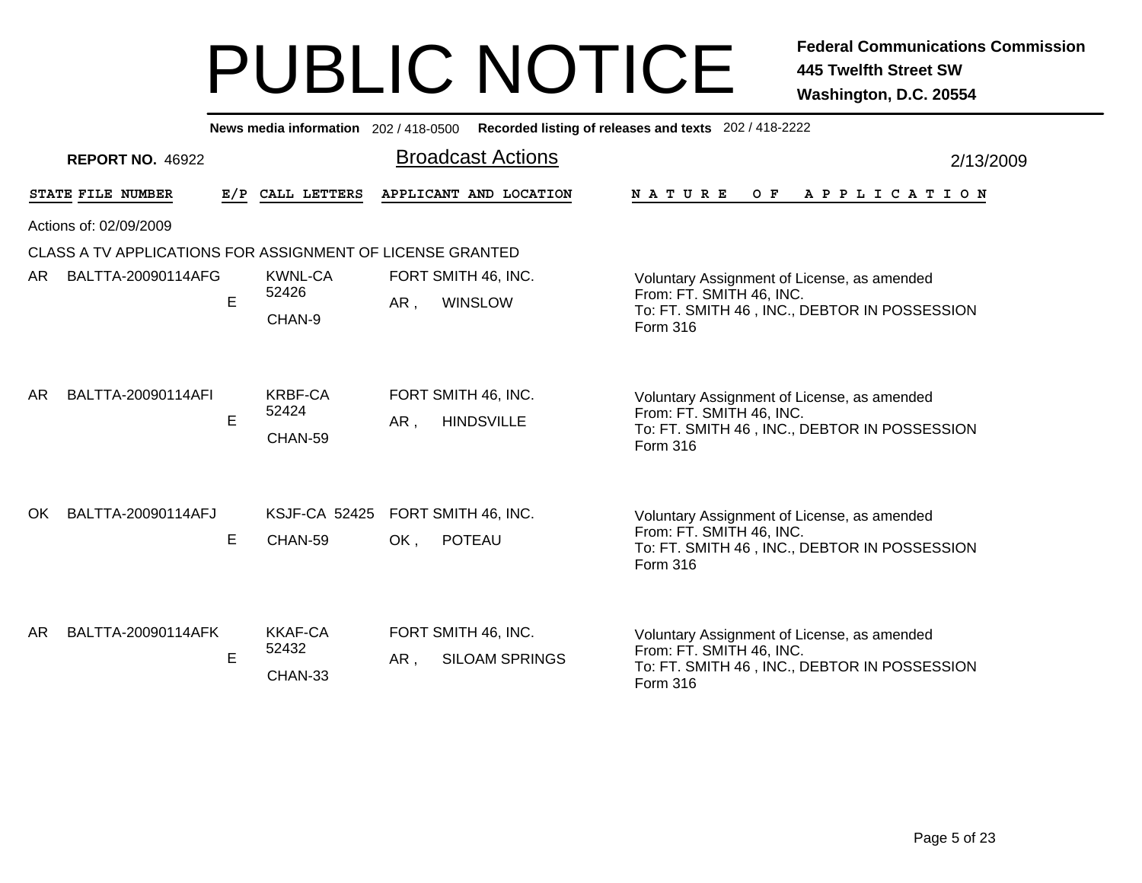Broadcast Actions 2/13/2009**News media information** 202 / 418-0500 **Recorded listing of releases and texts** 202 / 418-2222 **REPORT NO.** 46922STATE FILE NUMBER **FILE NUMBER E/P CALL LETTERS APPLICANT AND LOCATION N A T U R E O F A P P L I C A T I O N** Actions of: 02/09/2009CLASS A TV APPLICATIONS FOR ASSIGNMENT OF LICENSE GRANTED, WINSLOW CHAN-9EAR. Voluntary Assignment of License, as amended From: FT. SMITH 46, INC. To: FT. SMITH 46 , INC., DEBTOR IN POSSESSION Form 316KWNL-CA FORT SMITH 46, INC. 52426AR BALTTA-20090114AFG, HINDSVILLE CHAN-59EAR. Voluntary Assignment of License, as amended From: FT. SMITH 46, INC. To: FT. SMITH 46 , INC., DEBTOR IN POSSESSION Form 316KRBF-CA FORT SMITH 46, INC. 52424AR BALTTA-20090114AFI E CHAN-59OK. , POTEAU Voluntary Assignment of License, as amended From: FT. SMITH 46, INC. To: FT. SMITH 46 , INC., DEBTOR IN POSSESSION Form 316OK BALTTA-20090114AFJ KSJF-CA 52425 FORT SMITH 46, INC. , SILOAM SPRINGS CHAN-33EE AR Voluntary Assignment of License, as amended From: FT. SMITH 46, INC. To: FT. SMITH 46 , INC., DEBTOR IN POSSESSION Form 316KKAF-CA FORT SMITH 46, INC. 52432ARBALTTA-20090114AFK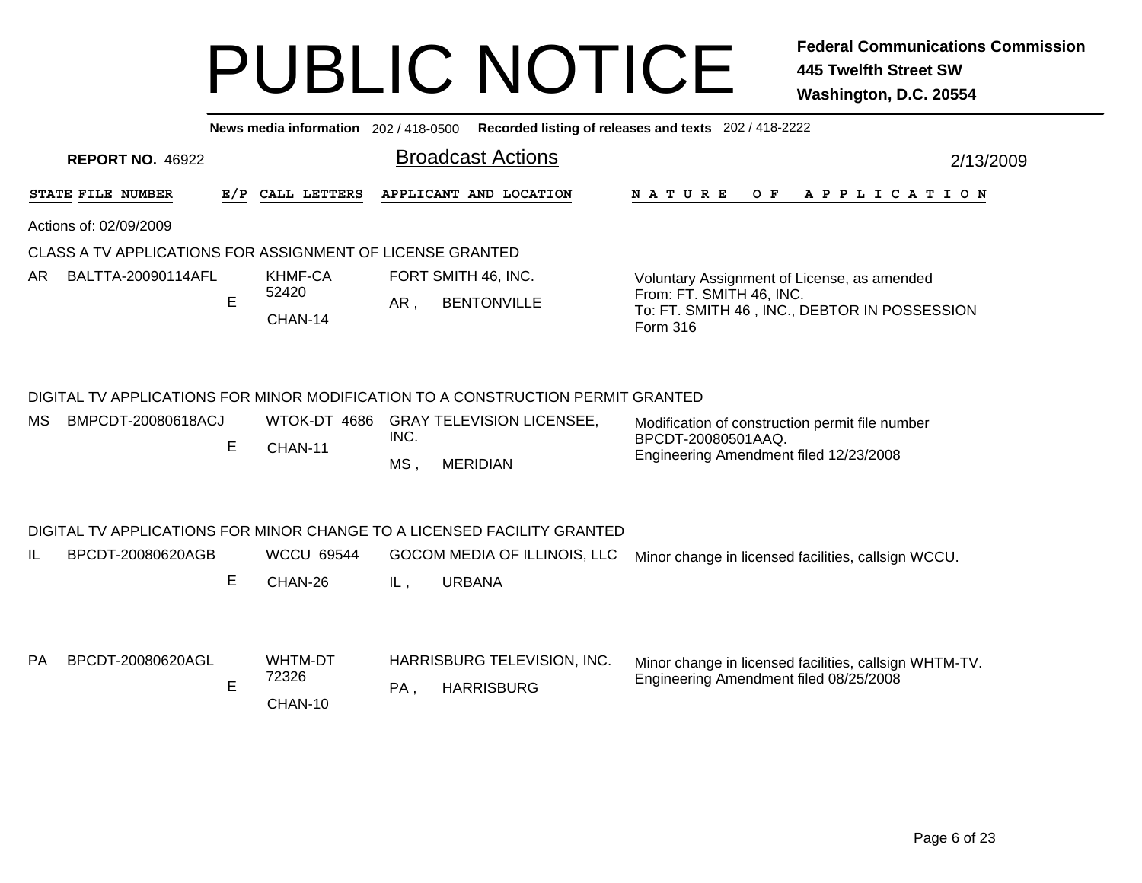|           | Recorded listing of releases and texts 202 / 418-2222<br>News media information 202 / 418-0500 |     |                              |             |                                                                                                                                              |                                                                                                                 |  |  |  |  |  |
|-----------|------------------------------------------------------------------------------------------------|-----|------------------------------|-------------|----------------------------------------------------------------------------------------------------------------------------------------------|-----------------------------------------------------------------------------------------------------------------|--|--|--|--|--|
|           | <b>Broadcast Actions</b><br><b>REPORT NO. 46922</b><br>2/13/2009                               |     |                              |             |                                                                                                                                              |                                                                                                                 |  |  |  |  |  |
|           | STATE FILE NUMBER                                                                              | E/P | CALL LETTERS                 |             | APPLICANT AND LOCATION                                                                                                                       | <b>NATURE</b><br>O F<br>A P P L I C A T I O N                                                                   |  |  |  |  |  |
|           | Actions of: 02/09/2009                                                                         |     |                              |             |                                                                                                                                              |                                                                                                                 |  |  |  |  |  |
|           | CLASS A TV APPLICATIONS FOR ASSIGNMENT OF LICENSE GRANTED                                      |     |                              |             |                                                                                                                                              |                                                                                                                 |  |  |  |  |  |
| AR.       | BALTTA-20090114AFL                                                                             |     | <b>KHMF-CA</b><br>52420      |             | FORT SMITH 46, INC.                                                                                                                          | Voluntary Assignment of License, as amended<br>From: FT. SMITH 46, INC.                                         |  |  |  |  |  |
|           |                                                                                                | E   | CHAN-14                      | AR,         | <b>BENTONVILLE</b>                                                                                                                           | To: FT. SMITH 46, INC., DEBTOR IN POSSESSION<br>Form 316                                                        |  |  |  |  |  |
| МS        | BMPCDT-20080618ACJ                                                                             | Е   | CHAN-11                      | INC.<br>MS, | DIGITAL TV APPLICATIONS FOR MINOR MODIFICATION TO A CONSTRUCTION PERMIT GRANTED<br>WTOK-DT 4686 GRAY TELEVISION LICENSEE,<br><b>MERIDIAN</b> | Modification of construction permit file number<br>BPCDT-20080501AAQ.<br>Engineering Amendment filed 12/23/2008 |  |  |  |  |  |
| IL        | BPCDT-20080620AGB                                                                              | E   | <b>WCCU 69544</b><br>CHAN-26 | IL,         | DIGITAL TV APPLICATIONS FOR MINOR CHANGE TO A LICENSED FACILITY GRANTED<br>GOCOM MEDIA OF ILLINOIS, LLC<br><b>URBANA</b>                     | Minor change in licensed facilities, callsign WCCU.                                                             |  |  |  |  |  |
| <b>PA</b> | BPCDT-20080620AGL                                                                              | E   | WHTM-DT<br>72326<br>CHAN-10  | PA,         | HARRISBURG TELEVISION, INC.<br><b>HARRISBURG</b>                                                                                             | Minor change in licensed facilities, callsign WHTM-TV.<br>Engineering Amendment filed 08/25/2008                |  |  |  |  |  |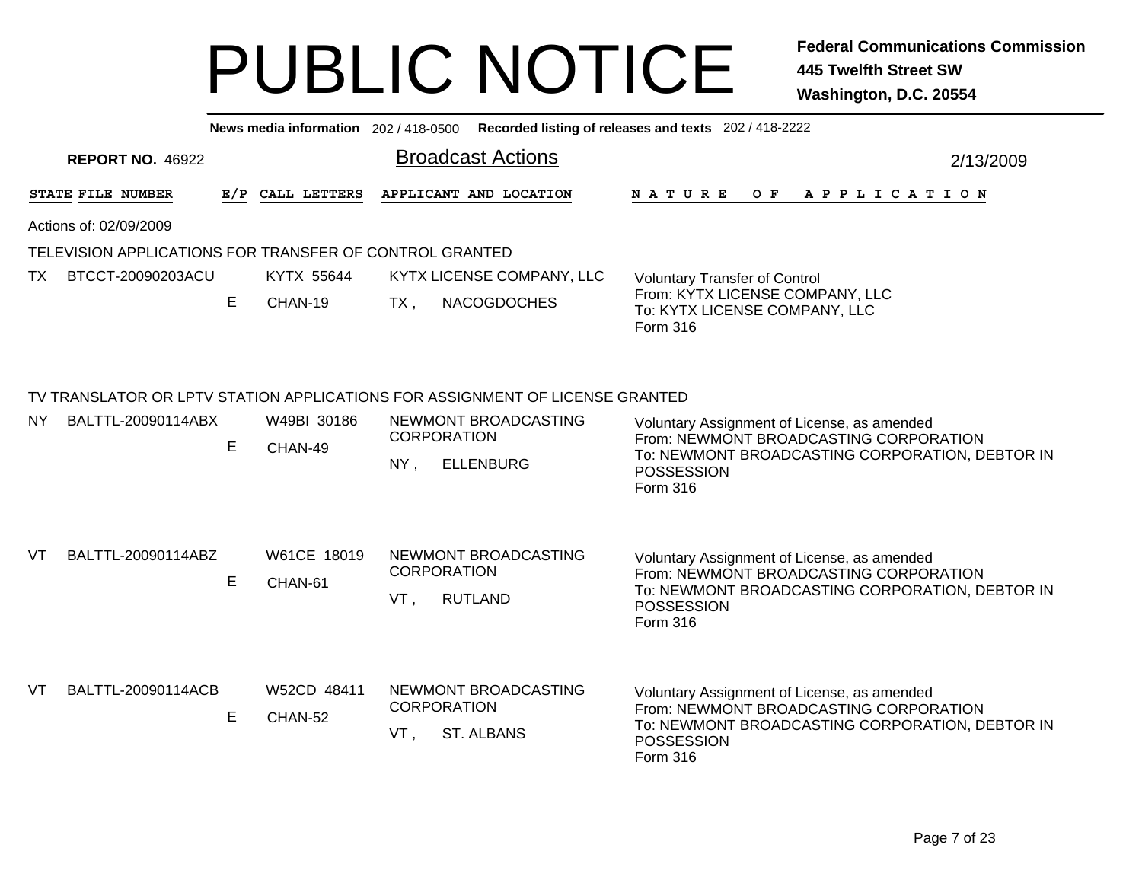|           |                                                         |   |                        | News media information 202 / 418-0500 Recorded listing of releases and texts 202 / 418-2222                                                                                                                                                                                                                                           |           |
|-----------|---------------------------------------------------------|---|------------------------|---------------------------------------------------------------------------------------------------------------------------------------------------------------------------------------------------------------------------------------------------------------------------------------------------------------------------------------|-----------|
|           | <b>REPORT NO. 46922</b>                                 |   |                        | <b>Broadcast Actions</b>                                                                                                                                                                                                                                                                                                              | 2/13/2009 |
|           | STATE FILE NUMBER                                       |   | E/P CALL LETTERS       | APPLICANT AND LOCATION<br>OF APPLICATION<br>N A T U R E                                                                                                                                                                                                                                                                               |           |
|           | Actions of: 02/09/2009                                  |   |                        |                                                                                                                                                                                                                                                                                                                                       |           |
|           | TELEVISION APPLICATIONS FOR TRANSFER OF CONTROL GRANTED |   |                        |                                                                                                                                                                                                                                                                                                                                       |           |
| <b>TX</b> | BTCCT-20090203ACU                                       |   | KYTX 55644             | KYTX LICENSE COMPANY, LLC<br><b>Voluntary Transfer of Control</b>                                                                                                                                                                                                                                                                     |           |
|           |                                                         | E | CHAN-19                | From: KYTX LICENSE COMPANY, LLC<br><b>NACOGDOCHES</b><br>$TX$ ,<br>To: KYTX LICENSE COMPANY, LLC<br>Form 316                                                                                                                                                                                                                          |           |
| NY .      | BALTTL-20090114ABX                                      | E | W49BI 30186<br>CHAN-49 | TV TRANSLATOR OR LPTV STATION APPLICATIONS FOR ASSIGNMENT OF LICENSE GRANTED<br>NEWMONT BROADCASTING<br>Voluntary Assignment of License, as amended<br><b>CORPORATION</b><br>From: NEWMONT BROADCASTING CORPORATION<br>To: NEWMONT BROADCASTING CORPORATION, DEBTOR IN<br>$NY$ ,<br><b>ELLENBURG</b><br><b>POSSESSION</b><br>Form 316 |           |
| VT        | BALTTL-20090114ABZ                                      | E | W61CE 18019<br>CHAN-61 | NEWMONT BROADCASTING<br>Voluntary Assignment of License, as amended<br><b>CORPORATION</b><br>From: NEWMONT BROADCASTING CORPORATION<br>To: NEWMONT BROADCASTING CORPORATION, DEBTOR IN<br><b>RUTLAND</b><br>VT.<br>POSSESSION<br>Form 316                                                                                             |           |
| <b>VT</b> | BALTTL-20090114ACB                                      | E | W52CD 48411<br>CHAN-52 | NEWMONT BROADCASTING<br>Voluntary Assignment of License, as amended<br><b>CORPORATION</b><br>From: NEWMONT BROADCASTING CORPORATION<br>To: NEWMONT BROADCASTING CORPORATION, DEBTOR IN<br>ST. ALBANS<br>VT.<br><b>POSSESSION</b><br>Form 316                                                                                          |           |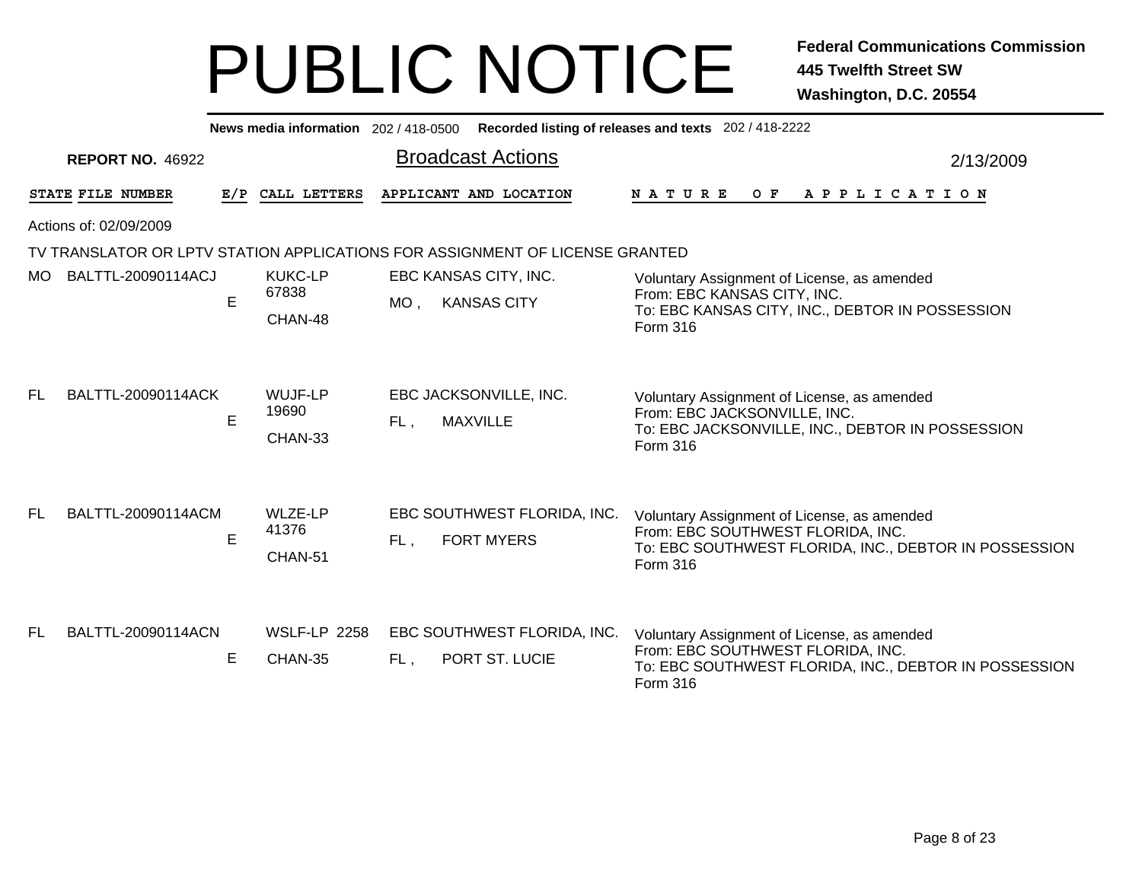|     | Recorded listing of releases and texts 202 / 418-2222<br>News media information 202/418-0500 |     |                                    |                                                                              |                                                                                                                                                       |  |  |  |  |  |
|-----|----------------------------------------------------------------------------------------------|-----|------------------------------------|------------------------------------------------------------------------------|-------------------------------------------------------------------------------------------------------------------------------------------------------|--|--|--|--|--|
|     | <b>REPORT NO. 46922</b>                                                                      |     |                                    | <b>Broadcast Actions</b>                                                     | 2/13/2009                                                                                                                                             |  |  |  |  |  |
|     | STATE FILE NUMBER                                                                            | E/P | CALL LETTERS                       | APPLICANT AND LOCATION                                                       | <b>NATURE</b><br>O F<br>A P P L I C A T I O N                                                                                                         |  |  |  |  |  |
|     | Actions of: 02/09/2009                                                                       |     |                                    |                                                                              |                                                                                                                                                       |  |  |  |  |  |
|     |                                                                                              |     |                                    | TV TRANSLATOR OR LPTV STATION APPLICATIONS FOR ASSIGNMENT OF LICENSE GRANTED |                                                                                                                                                       |  |  |  |  |  |
| MO. | BALTTL-20090114ACJ                                                                           | E   | <b>KUKC-LP</b><br>67838<br>CHAN-48 | EBC KANSAS CITY, INC.<br>$MO$ .<br><b>KANSAS CITY</b>                        | Voluntary Assignment of License, as amended<br>From: EBC KANSAS CITY, INC.<br>To: EBC KANSAS CITY, INC., DEBTOR IN POSSESSION<br>Form 316             |  |  |  |  |  |
| FL. | BALTTL-20090114ACK                                                                           | E   | WUJF-LP<br>19690<br>CHAN-33        | EBC JACKSONVILLE, INC.<br><b>MAXVILLE</b><br>FL,                             | Voluntary Assignment of License, as amended<br>From: EBC JACKSONVILLE, INC.<br>To: EBC JACKSONVILLE, INC., DEBTOR IN POSSESSION<br>Form 316           |  |  |  |  |  |
| FL. | BALTTL-20090114ACM                                                                           | E   | <b>WLZE-LP</b><br>41376<br>CHAN-51 | EBC SOUTHWEST FLORIDA, INC.<br><b>FORT MYERS</b><br>FL.                      | Voluntary Assignment of License, as amended<br>From: EBC SOUTHWEST FLORIDA, INC.<br>To: EBC SOUTHWEST FLORIDA, INC., DEBTOR IN POSSESSION<br>Form 316 |  |  |  |  |  |
| FL. | BALTTL-20090114ACN                                                                           | E.  | <b>WSLF-LP 2258</b><br>CHAN-35     | EBC SOUTHWEST FLORIDA, INC.<br>PORT ST. LUCIE<br>FL.                         | Voluntary Assignment of License, as amended<br>From: EBC SOUTHWEST FLORIDA, INC.<br>To: EBC SOUTHWEST FLORIDA, INC., DEBTOR IN POSSESSION<br>Form 316 |  |  |  |  |  |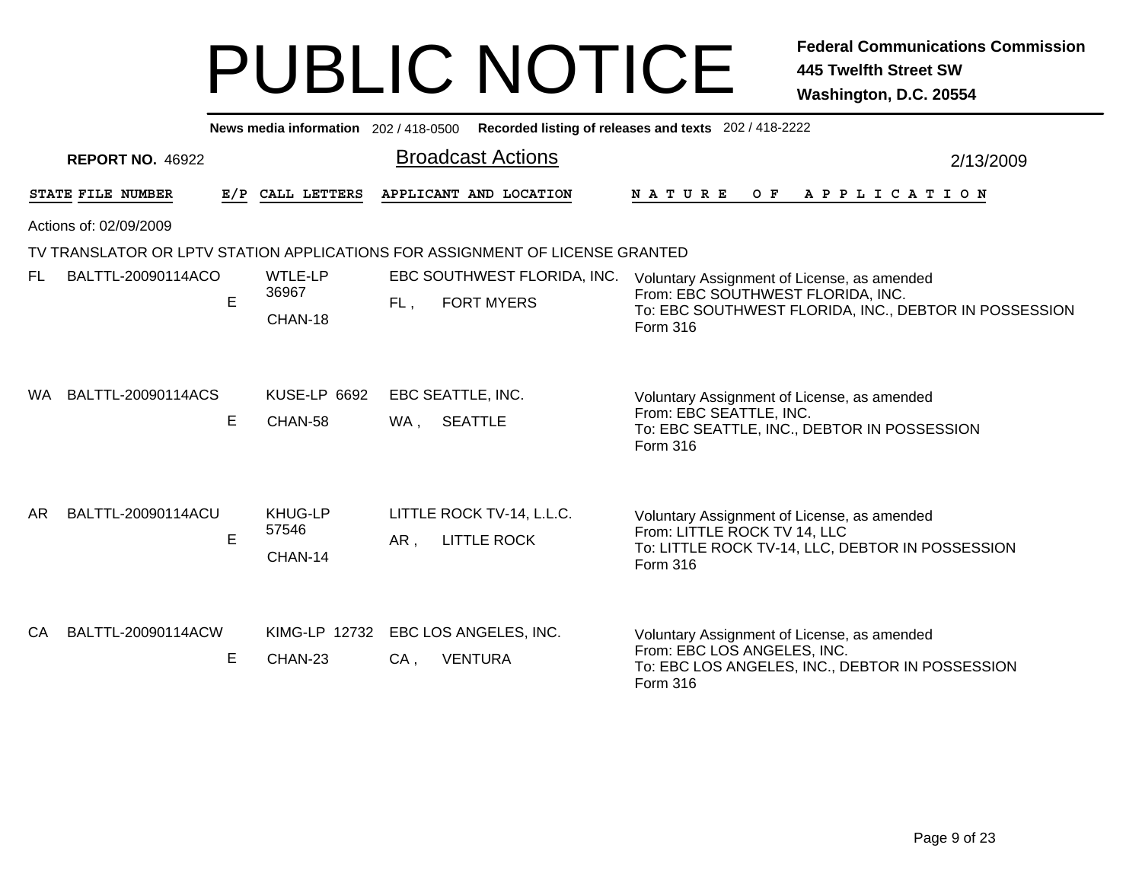| News media information 202 / 418-0500 |                         |     |                                    |                                                                              | Recorded listing of releases and texts 202 / 418-2222                                                                                                 |  |  |  |  |
|---------------------------------------|-------------------------|-----|------------------------------------|------------------------------------------------------------------------------|-------------------------------------------------------------------------------------------------------------------------------------------------------|--|--|--|--|
|                                       | <b>REPORT NO. 46922</b> |     |                                    | <b>Broadcast Actions</b>                                                     | 2/13/2009                                                                                                                                             |  |  |  |  |
|                                       | STATE FILE NUMBER       | E/P | CALL LETTERS                       | APPLICANT AND LOCATION                                                       | OF APPLICATION<br>N A T U R E                                                                                                                         |  |  |  |  |
|                                       | Actions of: 02/09/2009  |     |                                    |                                                                              |                                                                                                                                                       |  |  |  |  |
|                                       |                         |     |                                    | TV TRANSLATOR OR LPTV STATION APPLICATIONS FOR ASSIGNMENT OF LICENSE GRANTED |                                                                                                                                                       |  |  |  |  |
| FL.                                   | BALTTL-20090114ACO      | E   | <b>WTLE-LP</b><br>36967<br>CHAN-18 | EBC SOUTHWEST FLORIDA, INC.<br><b>FORT MYERS</b><br>FL,                      | Voluntary Assignment of License, as amended<br>From: EBC SOUTHWEST FLORIDA, INC.<br>To: EBC SOUTHWEST FLORIDA, INC., DEBTOR IN POSSESSION<br>Form 316 |  |  |  |  |
| WA.                                   | BALTTL-20090114ACS      | Е   | <b>KUSE-LP 6692</b><br>CHAN-58     | EBC SEATTLE, INC.<br><b>SEATTLE</b><br>WA ,                                  | Voluntary Assignment of License, as amended<br>From: EBC SEATTLE, INC.<br>To: EBC SEATTLE, INC., DEBTOR IN POSSESSION<br>Form 316                     |  |  |  |  |
| AR.                                   | BALTTL-20090114ACU      | E   | <b>KHUG-LP</b><br>57546<br>CHAN-14 | LITTLE ROCK TV-14, L.L.C.<br><b>LITTLE ROCK</b><br>AR,                       | Voluntary Assignment of License, as amended<br>From: LITTLE ROCK TV 14, LLC<br>To: LITTLE ROCK TV-14, LLC, DEBTOR IN POSSESSION<br>Form 316           |  |  |  |  |
| CA.                                   | BALTTL-20090114ACW      | E   | KIMG-LP 12732<br>CHAN-23           | EBC LOS ANGELES, INC.<br>$CA$ ,<br><b>VENTURA</b>                            | Voluntary Assignment of License, as amended<br>From: EBC LOS ANGELES, INC.<br>To: EBC LOS ANGELES, INC., DEBTOR IN POSSESSION<br>Form 316             |  |  |  |  |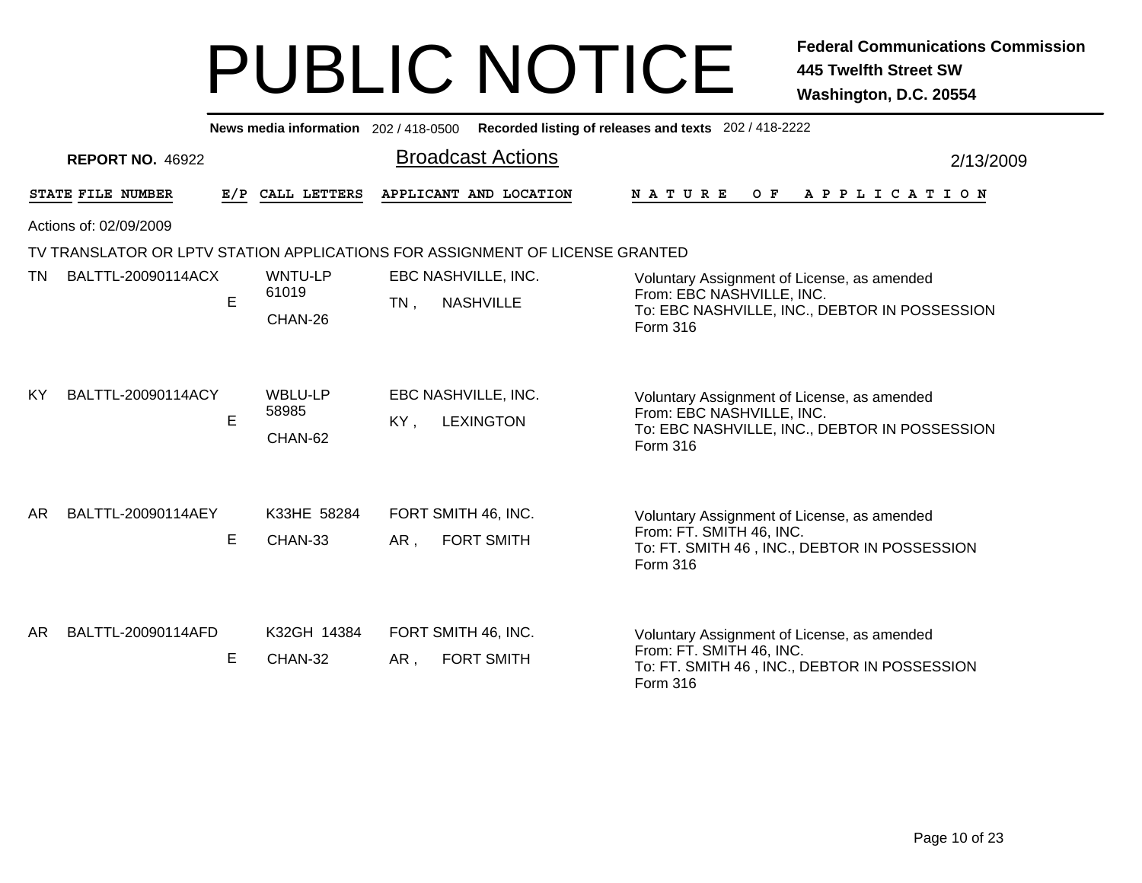|     |                                                                              |     | News media information 202/418-0500 |                                                   |  | Recorded listing of releases and texts 202 / 418-2222                                                                                 |  |  |
|-----|------------------------------------------------------------------------------|-----|-------------------------------------|---------------------------------------------------|--|---------------------------------------------------------------------------------------------------------------------------------------|--|--|
|     | <b>REPORT NO. 46922</b>                                                      |     |                                     | <b>Broadcast Actions</b>                          |  | 2/13/2009                                                                                                                             |  |  |
|     | STATE FILE NUMBER                                                            | E/P | CALL LETTERS                        | APPLICANT AND LOCATION                            |  | NATURE<br>O F<br>A P P L I C A T I O N                                                                                                |  |  |
|     | Actions of: 02/09/2009                                                       |     |                                     |                                                   |  |                                                                                                                                       |  |  |
|     | TV TRANSLATOR OR LPTV STATION APPLICATIONS FOR ASSIGNMENT OF LICENSE GRANTED |     |                                     |                                                   |  |                                                                                                                                       |  |  |
| TN  | BALTTL-20090114ACX                                                           | E   | <b>WNTU-LP</b><br>61019<br>CHAN-26  | EBC NASHVILLE, INC.<br><b>NASHVILLE</b><br>$TN$ , |  | Voluntary Assignment of License, as amended<br>From: EBC NASHVILLE, INC.<br>To: EBC NASHVILLE, INC., DEBTOR IN POSSESSION<br>Form 316 |  |  |
| KY  | BALTTL-20090114ACY                                                           | E   | <b>WBLU-LP</b><br>58985<br>CHAN-62  | EBC NASHVILLE, INC.<br>KY,<br><b>LEXINGTON</b>    |  | Voluntary Assignment of License, as amended<br>From: EBC NASHVILLE, INC.<br>To: EBC NASHVILLE, INC., DEBTOR IN POSSESSION<br>Form 316 |  |  |
| AR. | BALTTL-20090114AEY                                                           | Е   | K33HE 58284<br>CHAN-33              | FORT SMITH 46, INC.<br>AR,<br><b>FORT SMITH</b>   |  | Voluntary Assignment of License, as amended<br>From: FT. SMITH 46, INC.<br>To: FT. SMITH 46, INC., DEBTOR IN POSSESSION<br>Form 316   |  |  |
| AR. | BALTTL-20090114AFD                                                           | Е   | K32GH 14384<br>CHAN-32              | FORT SMITH 46, INC.<br><b>FORT SMITH</b><br>AR,   |  | Voluntary Assignment of License, as amended<br>From: FT. SMITH 46, INC.<br>To: FT. SMITH 46, INC., DEBTOR IN POSSESSION<br>Form 316   |  |  |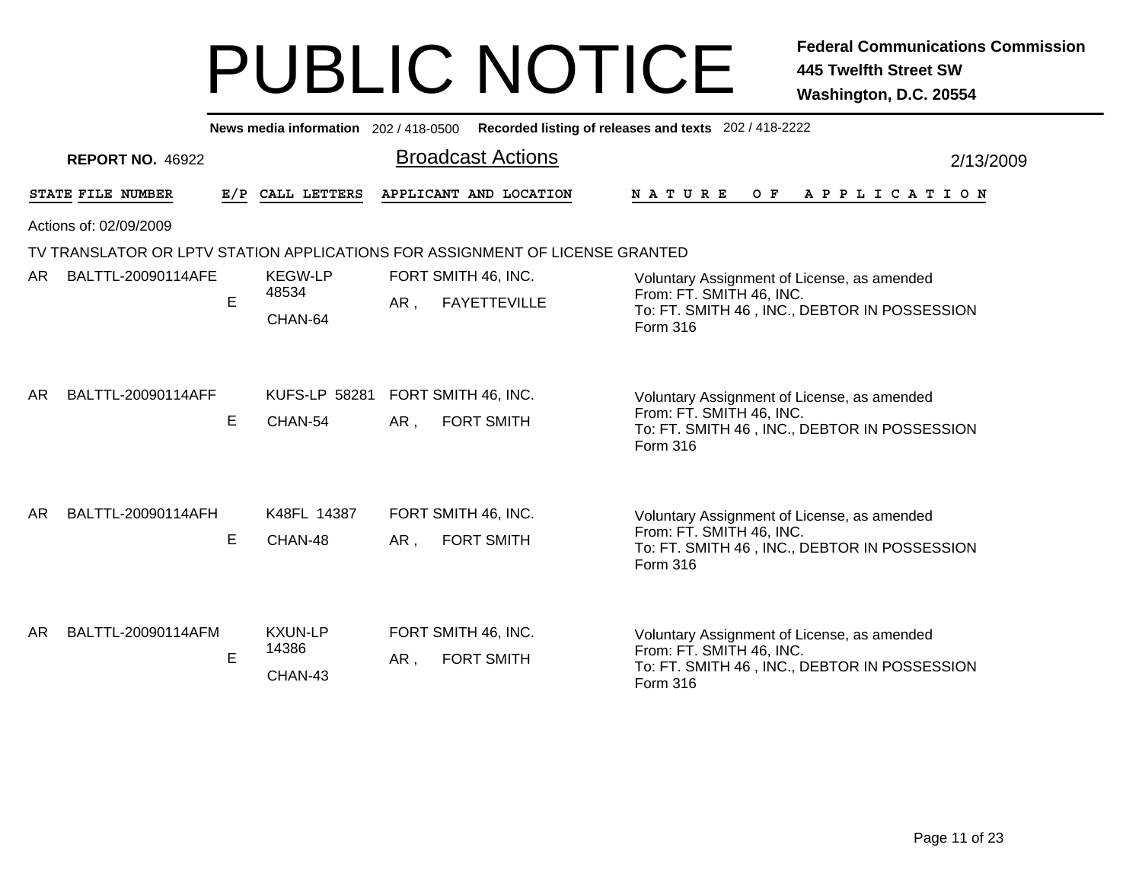|     |                         |     |                                    | News media information 202/418-0500 Recorded listing of releases and texts 202/418-2222 |                                                                                                                                     |  |  |  |  |  |
|-----|-------------------------|-----|------------------------------------|-----------------------------------------------------------------------------------------|-------------------------------------------------------------------------------------------------------------------------------------|--|--|--|--|--|
|     | <b>REPORT NO. 46922</b> |     |                                    | <b>Broadcast Actions</b>                                                                | 2/13/2009                                                                                                                           |  |  |  |  |  |
|     | STATE FILE NUMBER       | E/P | CALL LETTERS                       | APPLICANT AND LOCATION                                                                  | O F<br>A P P L I C A T I O N<br>N A T U R E                                                                                         |  |  |  |  |  |
|     | Actions of: 02/09/2009  |     |                                    |                                                                                         |                                                                                                                                     |  |  |  |  |  |
|     |                         |     |                                    | TV TRANSLATOR OR LPTV STATION APPLICATIONS FOR ASSIGNMENT OF LICENSE GRANTED            |                                                                                                                                     |  |  |  |  |  |
| AR. | BALTTL-20090114AFE      | E   | <b>KEGW-LP</b><br>48534<br>CHAN-64 | FORT SMITH 46, INC.<br><b>FAYETTEVILLE</b><br>AR,                                       | Voluntary Assignment of License, as amended<br>From: FT. SMITH 46, INC.<br>To: FT. SMITH 46, INC., DEBTOR IN POSSESSION<br>Form 316 |  |  |  |  |  |
| AR. | BALTTL-20090114AFF      | Е   | <b>KUFS-LP 58281</b><br>CHAN-54    | FORT SMITH 46, INC.<br>$AR$ ,<br><b>FORT SMITH</b>                                      | Voluntary Assignment of License, as amended<br>From: FT. SMITH 46, INC.<br>To: FT. SMITH 46, INC., DEBTOR IN POSSESSION<br>Form 316 |  |  |  |  |  |
| AR. | BALTTL-20090114AFH      | E.  | K48FL 14387<br>CHAN-48             | FORT SMITH 46, INC.<br><b>FORT SMITH</b><br>AR,                                         | Voluntary Assignment of License, as amended<br>From: FT. SMITH 46, INC.<br>To: FT. SMITH 46, INC., DEBTOR IN POSSESSION<br>Form 316 |  |  |  |  |  |
| AR. | BALTTL-20090114AFM      | E.  | <b>KXUN-LP</b><br>14386<br>CHAN-43 | FORT SMITH 46, INC.<br>AR,<br><b>FORT SMITH</b>                                         | Voluntary Assignment of License, as amended<br>From: FT. SMITH 46, INC.<br>To: FT. SMITH 46, INC., DEBTOR IN POSSESSION<br>Form 316 |  |  |  |  |  |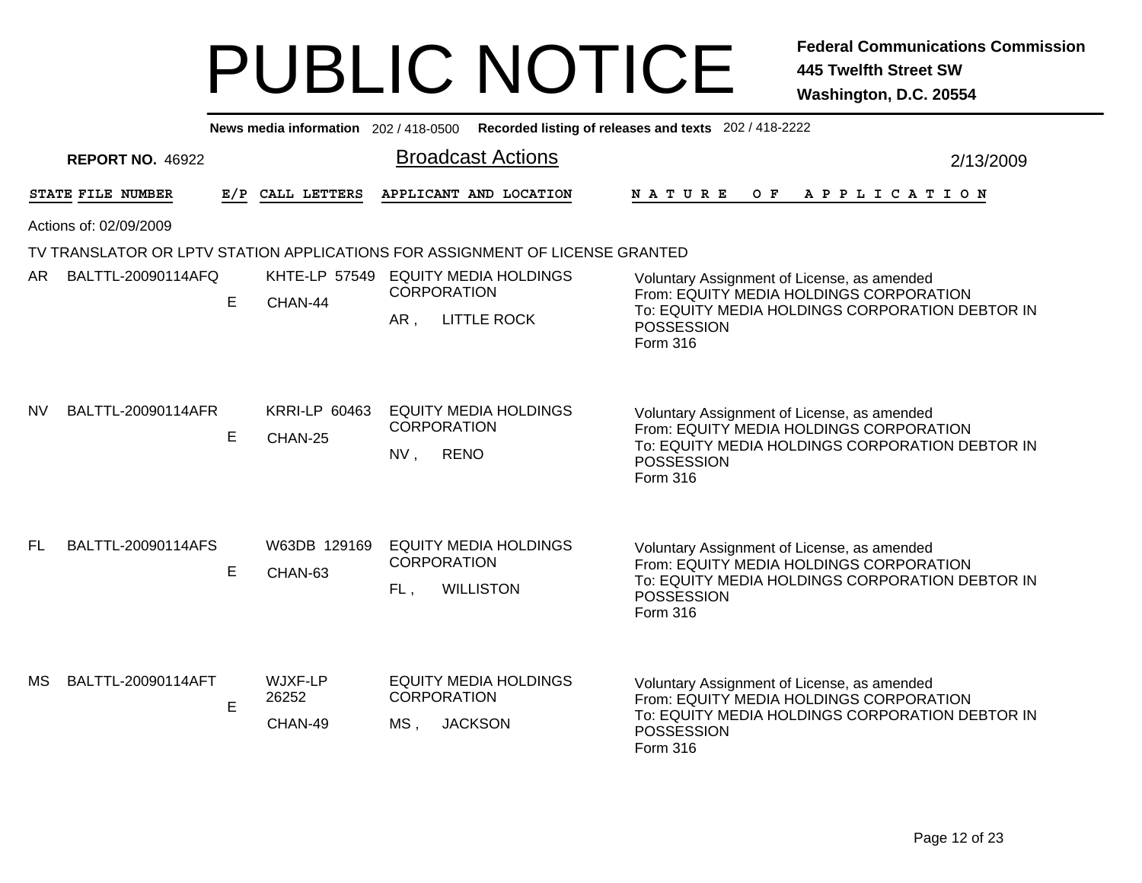|           | News media information 202 / 418-0500 Recorded listing of releases and texts 202 / 418-2222 |    |                                 |                                                                               |                                                                                                                                                                            |           |  |  |  |  |
|-----------|---------------------------------------------------------------------------------------------|----|---------------------------------|-------------------------------------------------------------------------------|----------------------------------------------------------------------------------------------------------------------------------------------------------------------------|-----------|--|--|--|--|
|           | <b>REPORT NO. 46922</b>                                                                     |    |                                 | <b>Broadcast Actions</b>                                                      |                                                                                                                                                                            | 2/13/2009 |  |  |  |  |
|           | STATE FILE NUMBER                                                                           |    | E/P CALL LETTERS                | APPLICANT AND LOCATION                                                        | NATURE OF APPLICATION                                                                                                                                                      |           |  |  |  |  |
|           | Actions of: 02/09/2009                                                                      |    |                                 |                                                                               |                                                                                                                                                                            |           |  |  |  |  |
|           | TV TRANSLATOR OR LPTV STATION APPLICATIONS FOR ASSIGNMENT OF LICENSE GRANTED                |    |                                 |                                                                               |                                                                                                                                                                            |           |  |  |  |  |
| AR.       | BALTTL-20090114AFQ                                                                          |    |                                 | KHTE-LP 57549 EQUITY MEDIA HOLDINGS<br><b>CORPORATION</b>                     | Voluntary Assignment of License, as amended<br>From: EQUITY MEDIA HOLDINGS CORPORATION                                                                                     |           |  |  |  |  |
|           |                                                                                             | E  | CHAN-44                         | AR,<br><b>LITTLE ROCK</b>                                                     | To: EQUITY MEDIA HOLDINGS CORPORATION DEBTOR IN<br>POSSESSION<br>Form 316                                                                                                  |           |  |  |  |  |
| <b>NV</b> | BALTTL-20090114AFR                                                                          | E. | <b>KRRI-LP 60463</b><br>CHAN-25 | <b>EQUITY MEDIA HOLDINGS</b><br><b>CORPORATION</b><br>NV,<br><b>RENO</b>      | Voluntary Assignment of License, as amended<br>From: EQUITY MEDIA HOLDINGS CORPORATION<br>To: EQUITY MEDIA HOLDINGS CORPORATION DEBTOR IN<br>POSSESSION<br>Form 316        |           |  |  |  |  |
| <b>FL</b> | BALTTL-20090114AFS                                                                          | E  | W63DB 129169<br>CHAN-63         | <b>EQUITY MEDIA HOLDINGS</b><br><b>CORPORATION</b><br><b>WILLISTON</b><br>FL, | Voluntary Assignment of License, as amended<br>From: EQUITY MEDIA HOLDINGS CORPORATION<br>To: EQUITY MEDIA HOLDINGS CORPORATION DEBTOR IN<br><b>POSSESSION</b><br>Form 316 |           |  |  |  |  |
| МS        | BALTTL-20090114AFT                                                                          | E  | WJXF-LP<br>26252<br>CHAN-49     | <b>EQUITY MEDIA HOLDINGS</b><br><b>CORPORATION</b><br>MS,<br><b>JACKSON</b>   | Voluntary Assignment of License, as amended<br>From: EQUITY MEDIA HOLDINGS CORPORATION<br>To: EQUITY MEDIA HOLDINGS CORPORATION DEBTOR IN<br><b>POSSESSION</b><br>Form 316 |           |  |  |  |  |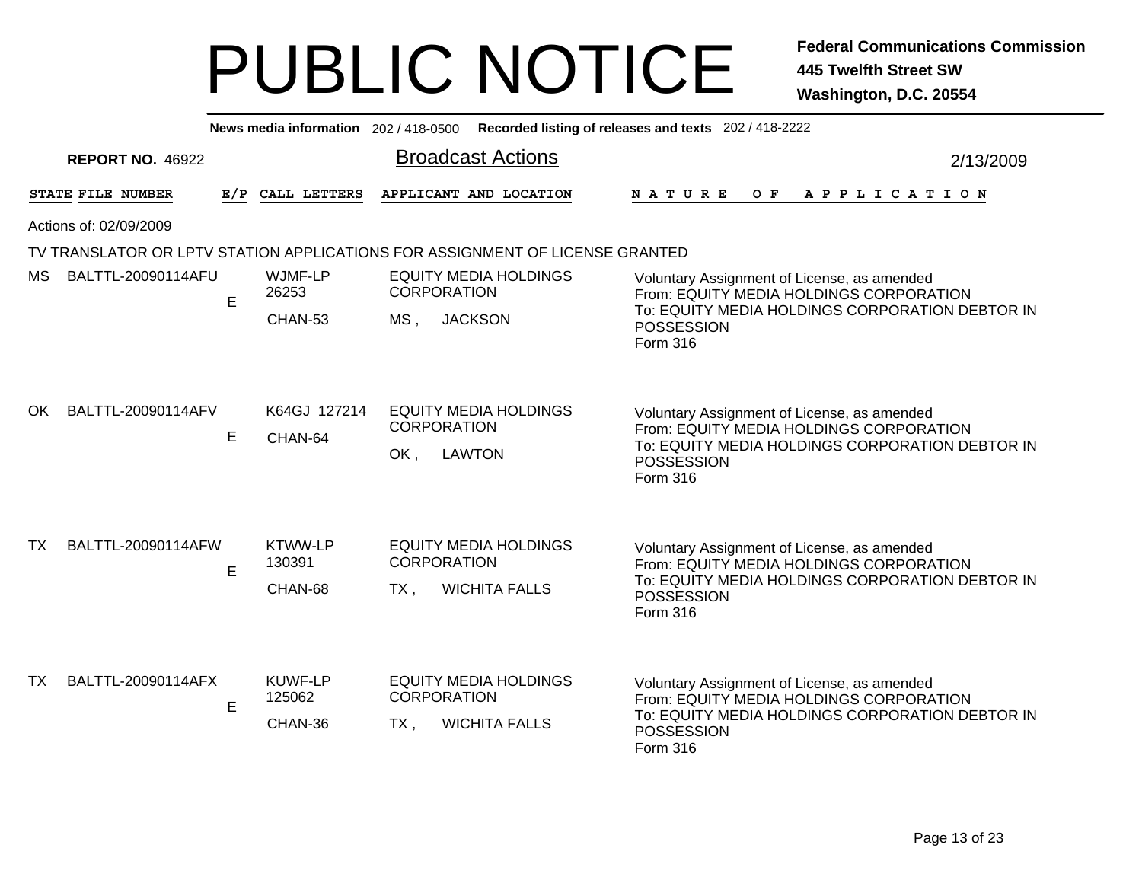|           |                                                                              |             |                   |                                                    | News media information 202 / 418-0500 Recorded listing of releases and texts 202 / 418-2222 |                                                                                                                             |           |  |  |
|-----------|------------------------------------------------------------------------------|-------------|-------------------|----------------------------------------------------|---------------------------------------------------------------------------------------------|-----------------------------------------------------------------------------------------------------------------------------|-----------|--|--|
|           | <b>REPORT NO. 46922</b>                                                      |             |                   |                                                    | <b>Broadcast Actions</b>                                                                    |                                                                                                                             | 2/13/2009 |  |  |
|           | STATE FILE NUMBER                                                            |             | E/P CALL LETTERS  |                                                    | APPLICANT AND LOCATION                                                                      | OF APPLICATION<br><b>NATURE</b>                                                                                             |           |  |  |
|           | Actions of: 02/09/2009                                                       |             |                   |                                                    |                                                                                             |                                                                                                                             |           |  |  |
|           | TV TRANSLATOR OR LPTV STATION APPLICATIONS FOR ASSIGNMENT OF LICENSE GRANTED |             |                   |                                                    |                                                                                             |                                                                                                                             |           |  |  |
| MS.       | BALTTL-20090114AFU                                                           | E           | WJMF-LP<br>26253  |                                                    | <b>EQUITY MEDIA HOLDINGS</b><br><b>CORPORATION</b>                                          | Voluntary Assignment of License, as amended<br>From: EQUITY MEDIA HOLDINGS CORPORATION                                      |           |  |  |
|           |                                                                              |             | CHAN-53           | $MS$ ,                                             | <b>JACKSON</b>                                                                              | To: EQUITY MEDIA HOLDINGS CORPORATION DEBTOR IN<br><b>POSSESSION</b><br>Form 316                                            |           |  |  |
| OK.       | BALTTL-20090114AFV                                                           |             | K64GJ 127214      |                                                    | <b>EQUITY MEDIA HOLDINGS</b>                                                                | Voluntary Assignment of License, as amended                                                                                 |           |  |  |
|           |                                                                              | Е           | CHAN-64           | OK,                                                | <b>CORPORATION</b><br><b>LAWTON</b>                                                         | From: EQUITY MEDIA HOLDINGS CORPORATION<br>To: EQUITY MEDIA HOLDINGS CORPORATION DEBTOR IN<br><b>POSSESSION</b><br>Form 316 |           |  |  |
| <b>TX</b> | BALTTL-20090114AFW                                                           |             | <b>KTWW-LP</b>    |                                                    | <b>EQUITY MEDIA HOLDINGS</b>                                                                | Voluntary Assignment of License, as amended                                                                                 |           |  |  |
|           |                                                                              | E           | 130391<br>CHAN-68 | $TX$ ,                                             | <b>CORPORATION</b><br><b>WICHITA FALLS</b>                                                  | From: EQUITY MEDIA HOLDINGS CORPORATION<br>To: EQUITY MEDIA HOLDINGS CORPORATION DEBTOR IN<br><b>POSSESSION</b><br>Form 316 |           |  |  |
|           |                                                                              |             |                   |                                                    |                                                                                             |                                                                                                                             |           |  |  |
| TX        | BALTTL-20090114AFX                                                           | 125062<br>E | KUWF-LP           | <b>EQUITY MEDIA HOLDINGS</b><br><b>CORPORATION</b> |                                                                                             | Voluntary Assignment of License, as amended<br>From: EQUITY MEDIA HOLDINGS CORPORATION                                      |           |  |  |
|           |                                                                              |             | CHAN-36           | $TX$ ,                                             | <b>WICHITA FALLS</b>                                                                        | To: EQUITY MEDIA HOLDINGS CORPORATION DEBTOR IN<br><b>POSSESSION</b><br>Form 316                                            |           |  |  |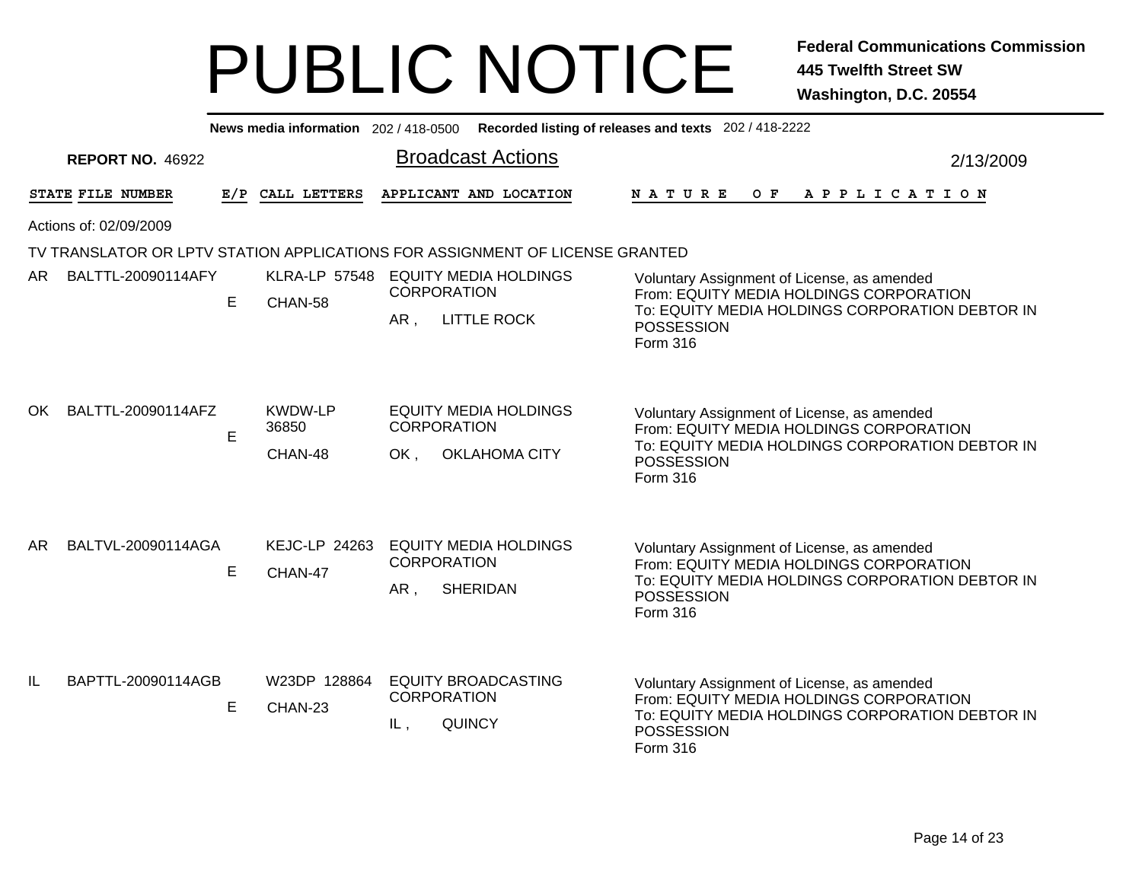|     | News media information 202 / 418-0500 Recorded listing of releases and texts 202 / 418-2222 |    |                                    |                                                                                                                    |                                                                                                                                           |  |  |  |  |  |  |  |  |
|-----|---------------------------------------------------------------------------------------------|----|------------------------------------|--------------------------------------------------------------------------------------------------------------------|-------------------------------------------------------------------------------------------------------------------------------------------|--|--|--|--|--|--|--|--|
|     | <b>REPORT NO. 46922</b>                                                                     |    |                                    | <b>Broadcast Actions</b>                                                                                           | 2/13/2009                                                                                                                                 |  |  |  |  |  |  |  |  |
|     | STATE FILE NUMBER                                                                           |    | E/P CALL LETTERS                   | APPLICANT AND LOCATION<br><b>NATURE</b>                                                                            | O F<br>A P P L I C A T I O N                                                                                                              |  |  |  |  |  |  |  |  |
|     | Actions of: 02/09/2009                                                                      |    |                                    |                                                                                                                    |                                                                                                                                           |  |  |  |  |  |  |  |  |
|     |                                                                                             |    |                                    | TV TRANSLATOR OR LPTV STATION APPLICATIONS FOR ASSIGNMENT OF LICENSE GRANTED                                       |                                                                                                                                           |  |  |  |  |  |  |  |  |
| AR. | BALTTL-20090114AFY                                                                          | E  | CHAN-58                            | KLRA-LP 57548 EQUITY MEDIA HOLDINGS<br><b>CORPORATION</b>                                                          | Voluntary Assignment of License, as amended<br>From: EQUITY MEDIA HOLDINGS CORPORATION                                                    |  |  |  |  |  |  |  |  |
|     |                                                                                             |    |                                    | AR,<br><b>LITTLE ROCK</b><br>POSSESSION<br>Form 316                                                                | To: EQUITY MEDIA HOLDINGS CORPORATION DEBTOR IN                                                                                           |  |  |  |  |  |  |  |  |
| OK. | BALTTL-20090114AFZ                                                                          | E. | <b>KWDW-LP</b><br>36850<br>CHAN-48 | <b>EQUITY MEDIA HOLDINGS</b><br><b>CORPORATION</b><br>OK.<br><b>OKLAHOMA CITY</b><br><b>POSSESSION</b><br>Form 316 | Voluntary Assignment of License, as amended<br>From: EQUITY MEDIA HOLDINGS CORPORATION<br>To: EQUITY MEDIA HOLDINGS CORPORATION DEBTOR IN |  |  |  |  |  |  |  |  |
| AR. | BALTVL-20090114AGA                                                                          | E  | <b>KEJC-LP 24263</b><br>CHAN-47    | <b>EQUITY MEDIA HOLDINGS</b><br><b>CORPORATION</b><br>AR,<br><b>SHERIDAN</b><br>POSSESSION<br>Form 316             | Voluntary Assignment of License, as amended<br>From: EQUITY MEDIA HOLDINGS CORPORATION<br>To: EQUITY MEDIA HOLDINGS CORPORATION DEBTOR IN |  |  |  |  |  |  |  |  |
| IL  | BAPTTL-20090114AGB                                                                          | E  | W23DP 128864<br>CHAN-23            | <b>EQUITY BROADCASTING</b><br><b>CORPORATION</b><br><b>QUINCY</b><br>IL,<br><b>POSSESSION</b><br>Form 316          | Voluntary Assignment of License, as amended<br>From: EQUITY MEDIA HOLDINGS CORPORATION<br>To: EQUITY MEDIA HOLDINGS CORPORATION DEBTOR IN |  |  |  |  |  |  |  |  |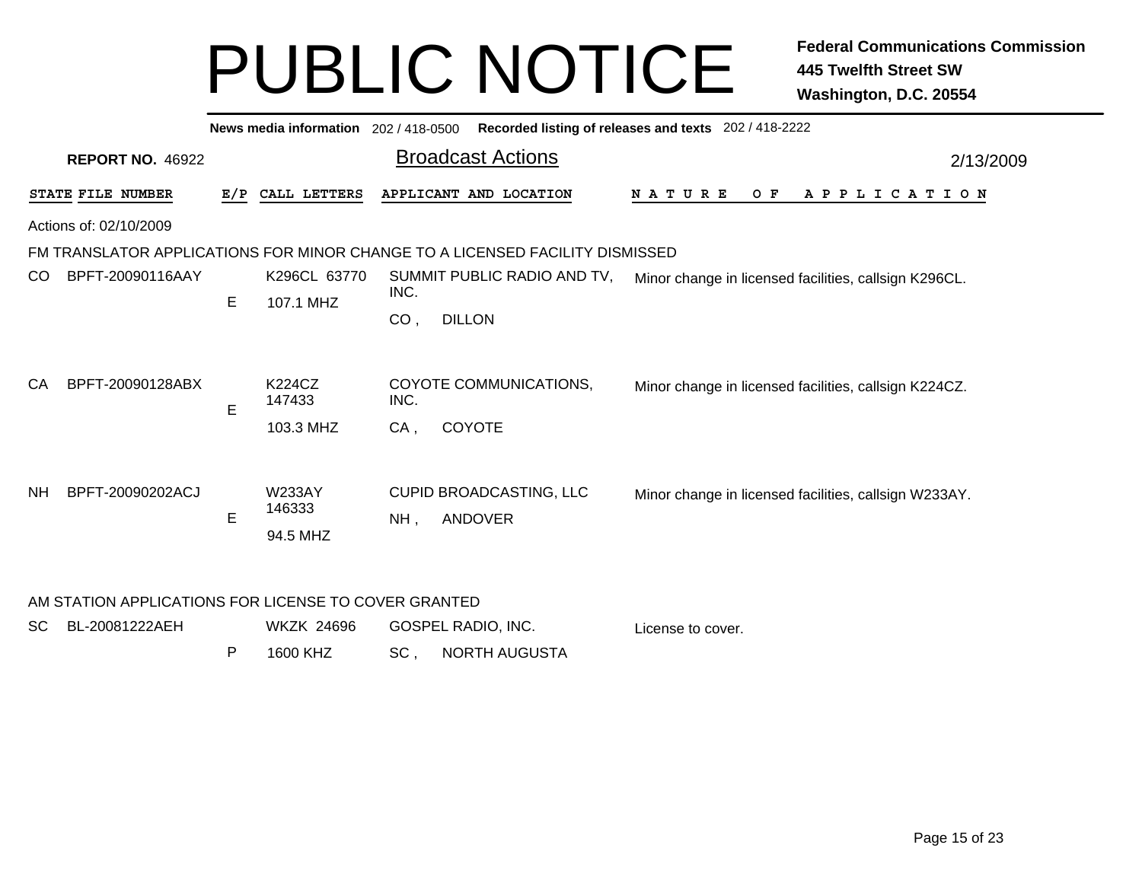|                                                                              | News media information 202 / 418-0500<br>Recorded listing of releases and texts 202 / 418-2222 |   |                                     |                |                                              |                                                       |  |  |  |  |  |  |  |
|------------------------------------------------------------------------------|------------------------------------------------------------------------------------------------|---|-------------------------------------|----------------|----------------------------------------------|-------------------------------------------------------|--|--|--|--|--|--|--|
|                                                                              | <b>REPORT NO. 46922</b>                                                                        |   |                                     |                | <b>Broadcast Actions</b>                     | 2/13/2009                                             |  |  |  |  |  |  |  |
| STATE FILE NUMBER<br>E/P CALL LETTERS                                        |                                                                                                |   |                                     |                | APPLICANT AND LOCATION                       | <b>NATURE</b><br>O F<br>A P P L I C A T I O N         |  |  |  |  |  |  |  |
| Actions of: 02/10/2009                                                       |                                                                                                |   |                                     |                |                                              |                                                       |  |  |  |  |  |  |  |
| FM TRANSLATOR APPLICATIONS FOR MINOR CHANGE TO A LICENSED FACILITY DISMISSED |                                                                                                |   |                                     |                |                                              |                                                       |  |  |  |  |  |  |  |
| CO.                                                                          | BPFT-20090116AAY                                                                               | E | K296CL 63770<br>107.1 MHZ           | INC.<br>CO,    | SUMMIT PUBLIC RADIO AND TV,<br><b>DILLON</b> | Minor change in licensed facilities, callsign K296CL. |  |  |  |  |  |  |  |
| СA                                                                           | BPFT-20090128ABX                                                                               | E | K224CZ<br>147433<br>103.3 MHZ       | INC.<br>$CA$ , | COYOTE COMMUNICATIONS,<br><b>COYOTE</b>      | Minor change in licensed facilities, callsign K224CZ. |  |  |  |  |  |  |  |
| <b>NH</b>                                                                    | BPFT-20090202ACJ                                                                               | E | <b>W233AY</b><br>146333<br>94.5 MHZ | NH,            | CUPID BROADCASTING, LLC<br><b>ANDOVER</b>    | Minor change in licensed facilities, callsign W233AY. |  |  |  |  |  |  |  |

#### AM STATION APPLICATIONS FOR LICENSE TO COVER GRANTED

| SC BL-20081222AEH | WKZK 24696 | GOSPEL RADIO, INC. |                   |  | License to cover. |
|-------------------|------------|--------------------|-------------------|--|-------------------|
|                   | 1600 KHZ   |                    | SC, NORTH AUGUSTA |  |                   |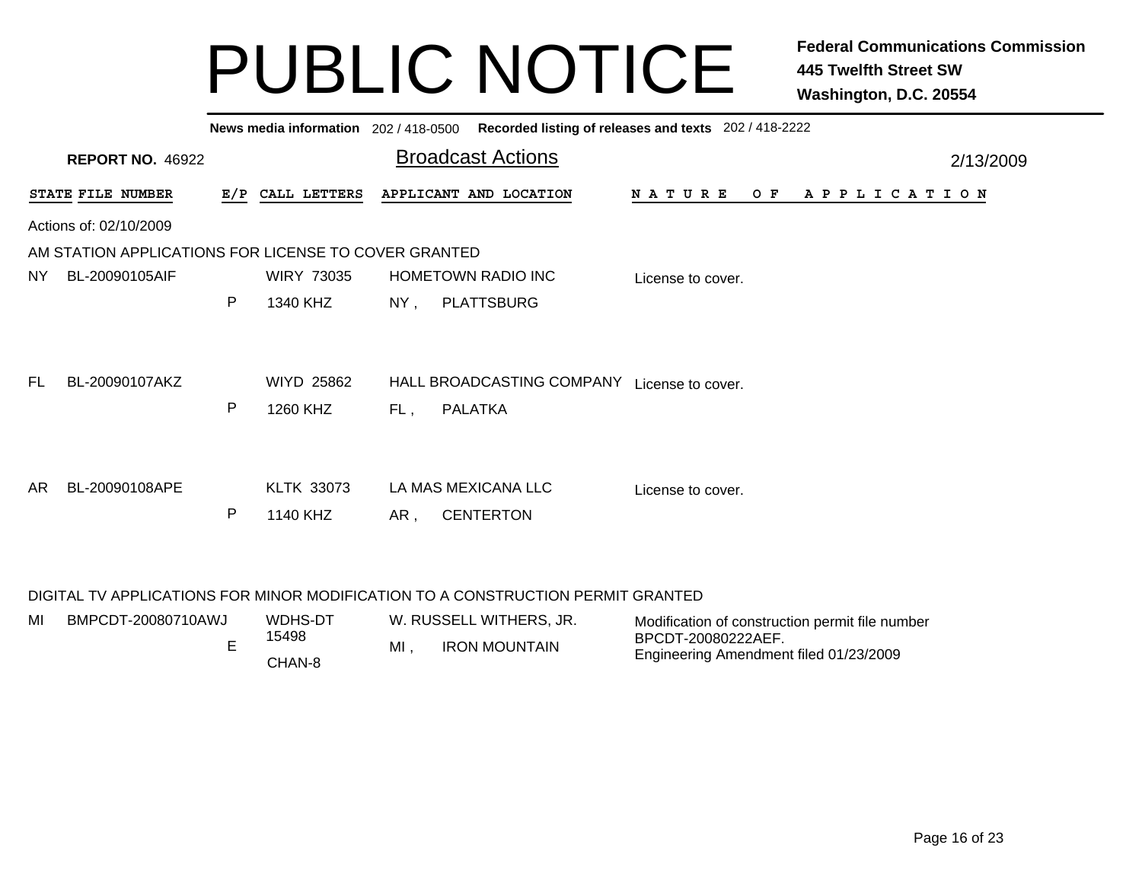|                                                                                 | Recorded listing of releases and texts 202 / 418-2222<br>News media information 202/418-0500 |                               |                                                                      |  |                                             |           |  |  |  |  |  |  |  |
|---------------------------------------------------------------------------------|----------------------------------------------------------------------------------------------|-------------------------------|----------------------------------------------------------------------|--|---------------------------------------------|-----------|--|--|--|--|--|--|--|
| <b>REPORT NO. 46922</b>                                                         |                                                                                              |                               | <b>Broadcast Actions</b>                                             |  |                                             | 2/13/2009 |  |  |  |  |  |  |  |
| STATE FILE NUMBER                                                               | E/P                                                                                          | CALL LETTERS                  | APPLICANT AND LOCATION                                               |  | N A T U R E<br>O F<br>A P P L I C A T I O N |           |  |  |  |  |  |  |  |
| Actions of: 02/10/2009                                                          |                                                                                              |                               |                                                                      |  |                                             |           |  |  |  |  |  |  |  |
| AM STATION APPLICATIONS FOR LICENSE TO COVER GRANTED                            |                                                                                              |                               |                                                                      |  |                                             |           |  |  |  |  |  |  |  |
| BL-20090105AIF<br><b>NY</b>                                                     |                                                                                              | <b>WIRY 73035</b>             | <b>HOMETOWN RADIO INC</b>                                            |  | License to cover.                           |           |  |  |  |  |  |  |  |
|                                                                                 | P                                                                                            | 1340 KHZ                      | <b>PLATTSBURG</b><br>$NY$ ,                                          |  |                                             |           |  |  |  |  |  |  |  |
| BL-20090107AKZ<br>FL.                                                           | P                                                                                            | <b>WIYD 25862</b><br>1260 KHZ | HALL BROADCASTING COMPANY License to cover.<br><b>PALATKA</b><br>FL, |  |                                             |           |  |  |  |  |  |  |  |
| AR.<br>BL-20090108APE                                                           | P                                                                                            | <b>KLTK 33073</b><br>1140 KHZ | LA MAS MEXICANA LLC<br><b>CENTERTON</b><br>AR,                       |  | License to cover.                           |           |  |  |  |  |  |  |  |
| DIGITAL TV APPLICATIONS FOR MINOR MODIFICATION TO A CONSTRUCTION PERMIT GRANTED |                                                                                              |                               |                                                                      |  |                                             |           |  |  |  |  |  |  |  |

| MI | BMPCDT-20080710AWJ | WDHS-DT |    | W. RUSSELL WITHERS, JR. | Modification of construction permit file number |
|----|--------------------|---------|----|-------------------------|-------------------------------------------------|
|    |                    | 15498   | МΙ | <b>IRON MOUNTAIN</b>    | BPCDT-20080222AEF.                              |
|    |                    | CHAN-8  |    |                         | Engineering Amendment filed 01/23/2009          |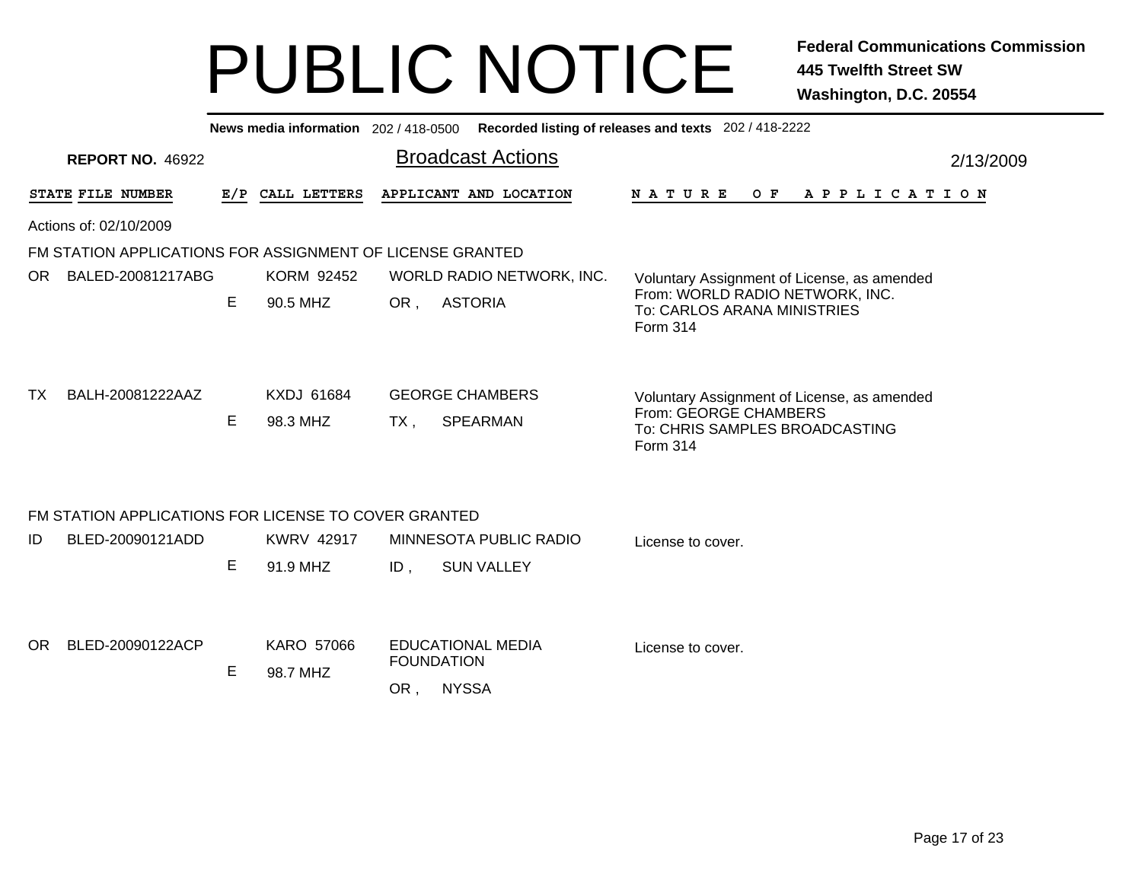| Recorded listing of releases and texts 202 / 418-2222<br>News media information 202 / 418-0500 |                                       |                               |                                                                                           |                                                                               |  |  |  |  |  |  |  |  |  |  |
|------------------------------------------------------------------------------------------------|---------------------------------------|-------------------------------|-------------------------------------------------------------------------------------------|-------------------------------------------------------------------------------|--|--|--|--|--|--|--|--|--|--|
| <b>REPORT NO. 46922</b>                                                                        | <b>Broadcast Actions</b><br>2/13/2009 |                               |                                                                                           |                                                                               |  |  |  |  |  |  |  |  |  |  |
| STATE FILE NUMBER                                                                              |                                       | E/P CALL LETTERS              | APPLICANT AND LOCATION<br>N A T U R E                                                     | O F<br>APPLICATION                                                            |  |  |  |  |  |  |  |  |  |  |
| Actions of: 02/10/2009                                                                         |                                       |                               |                                                                                           |                                                                               |  |  |  |  |  |  |  |  |  |  |
| FM STATION APPLICATIONS FOR ASSIGNMENT OF LICENSE GRANTED                                      |                                       |                               |                                                                                           |                                                                               |  |  |  |  |  |  |  |  |  |  |
| OR.<br>BALED-20081217ABG                                                                       |                                       | <b>KORM 92452</b>             | WORLD RADIO NETWORK, INC.                                                                 | Voluntary Assignment of License, as amended                                   |  |  |  |  |  |  |  |  |  |  |
|                                                                                                | Е                                     | 90.5 MHZ                      | <b>ASTORIA</b><br>OR,<br>To: CARLOS ARANA MINISTRIES<br>Form 314                          | From: WORLD RADIO NETWORK, INC.                                               |  |  |  |  |  |  |  |  |  |  |
| BALH-20081222AAZ<br>TX.                                                                        | Е                                     | <b>KXDJ 61684</b><br>98.3 MHZ | <b>GEORGE CHAMBERS</b><br>From: GEORGE CHAMBERS<br><b>SPEARMAN</b><br>TX,<br>Form 314     | Voluntary Assignment of License, as amended<br>To: CHRIS SAMPLES BROADCASTING |  |  |  |  |  |  |  |  |  |  |
| FM STATION APPLICATIONS FOR LICENSE TO COVER GRANTED                                           |                                       |                               |                                                                                           |                                                                               |  |  |  |  |  |  |  |  |  |  |
| BLED-20090121ADD<br>ID                                                                         | Е                                     | <b>KWRV 42917</b><br>91.9 MHZ | MINNESOTA PUBLIC RADIO<br>License to cover.<br><b>SUN VALLEY</b><br>ID,                   |                                                                               |  |  |  |  |  |  |  |  |  |  |
| BLED-20090122ACP<br>OR.                                                                        | E                                     | <b>KARO 57066</b><br>98.7 MHZ | <b>EDUCATIONAL MEDIA</b><br>License to cover.<br><b>FOUNDATION</b><br><b>NYSSA</b><br>OR, |                                                                               |  |  |  |  |  |  |  |  |  |  |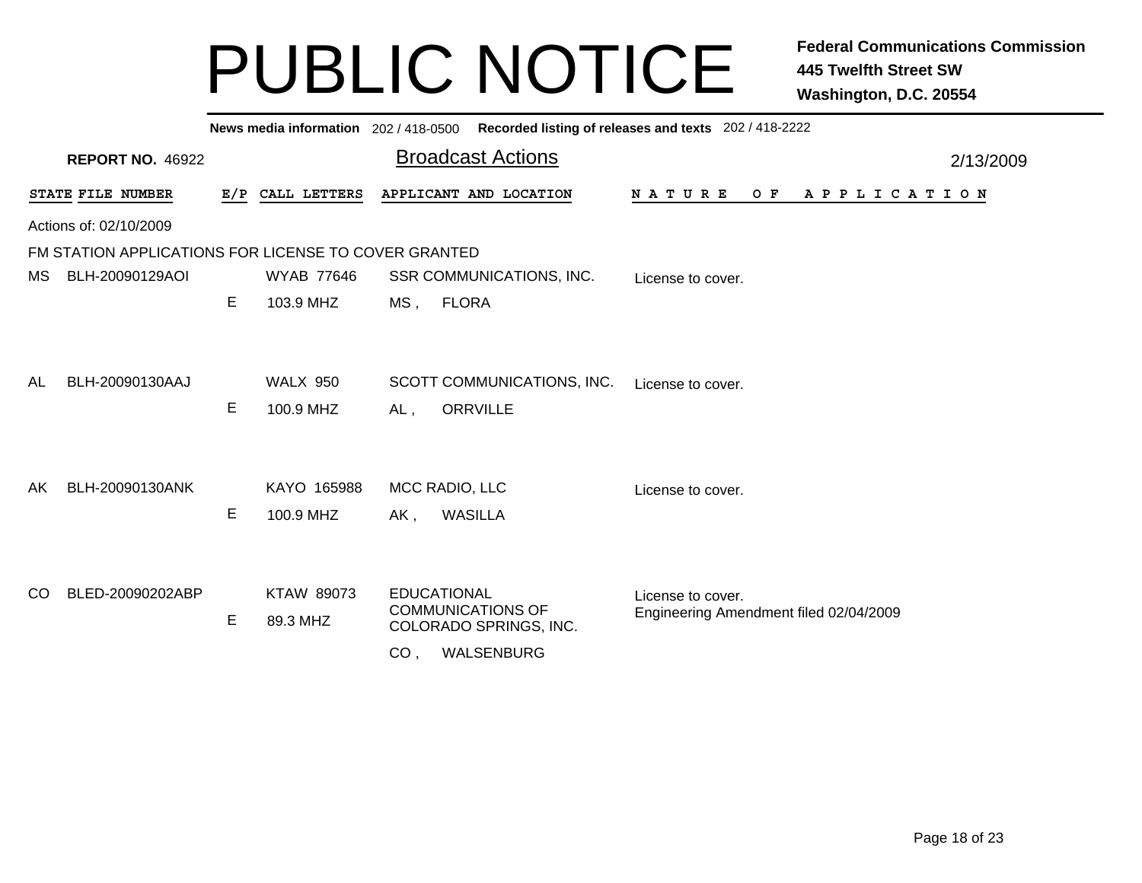|     | Recorded listing of releases and texts 202 / 418-2222<br>News media information 202/418-0500 |   |                              |                 |                                                |                                                             |  |  |  |  |  |  |  |
|-----|----------------------------------------------------------------------------------------------|---|------------------------------|-----------------|------------------------------------------------|-------------------------------------------------------------|--|--|--|--|--|--|--|
|     | <b>REPORT NO. 46922</b>                                                                      |   |                              |                 | <b>Broadcast Actions</b>                       | 2/13/2009                                                   |  |  |  |  |  |  |  |
|     | STATE FILE NUMBER                                                                            |   | E/P CALL LETTERS             |                 | APPLICANT AND LOCATION                         | N A T U R E<br>O F<br>A P P L I C A T I O N                 |  |  |  |  |  |  |  |
|     | Actions of: 02/10/2009                                                                       |   |                              |                 |                                                |                                                             |  |  |  |  |  |  |  |
|     | FM STATION APPLICATIONS FOR LICENSE TO COVER GRANTED                                         |   |                              |                 |                                                |                                                             |  |  |  |  |  |  |  |
| MS. | BLH-20090129AOI                                                                              |   | <b>WYAB 77646</b>            |                 | SSR COMMUNICATIONS, INC.                       | License to cover.                                           |  |  |  |  |  |  |  |
|     |                                                                                              | E | 103.9 MHZ                    |                 | MS, FLORA                                      |                                                             |  |  |  |  |  |  |  |
| AL  | BLH-20090130AAJ                                                                              | E | <b>WALX 950</b><br>100.9 MHZ | AL,             | SCOTT COMMUNICATIONS, INC.<br><b>ORRVILLE</b>  | License to cover.                                           |  |  |  |  |  |  |  |
|     | BLH-20090130ANK                                                                              |   | KAYO 165988                  |                 | MCC RADIO, LLC                                 |                                                             |  |  |  |  |  |  |  |
| AK. |                                                                                              | Е | 100.9 MHZ                    |                 | <b>WASILLA</b>                                 | License to cover.                                           |  |  |  |  |  |  |  |
|     |                                                                                              |   |                              | AK,             |                                                |                                                             |  |  |  |  |  |  |  |
| CO. | BLED-20090202ABP                                                                             |   | KTAW 89073                   |                 | <b>EDUCATIONAL</b><br><b>COMMUNICATIONS OF</b> | License to cover.<br>Engineering Amendment filed 02/04/2009 |  |  |  |  |  |  |  |
|     |                                                                                              | E | 89.3 MHZ                     |                 | COLORADO SPRINGS, INC.                         |                                                             |  |  |  |  |  |  |  |
|     |                                                                                              |   |                              | CO <sub>1</sub> | WALSENBURG                                     |                                                             |  |  |  |  |  |  |  |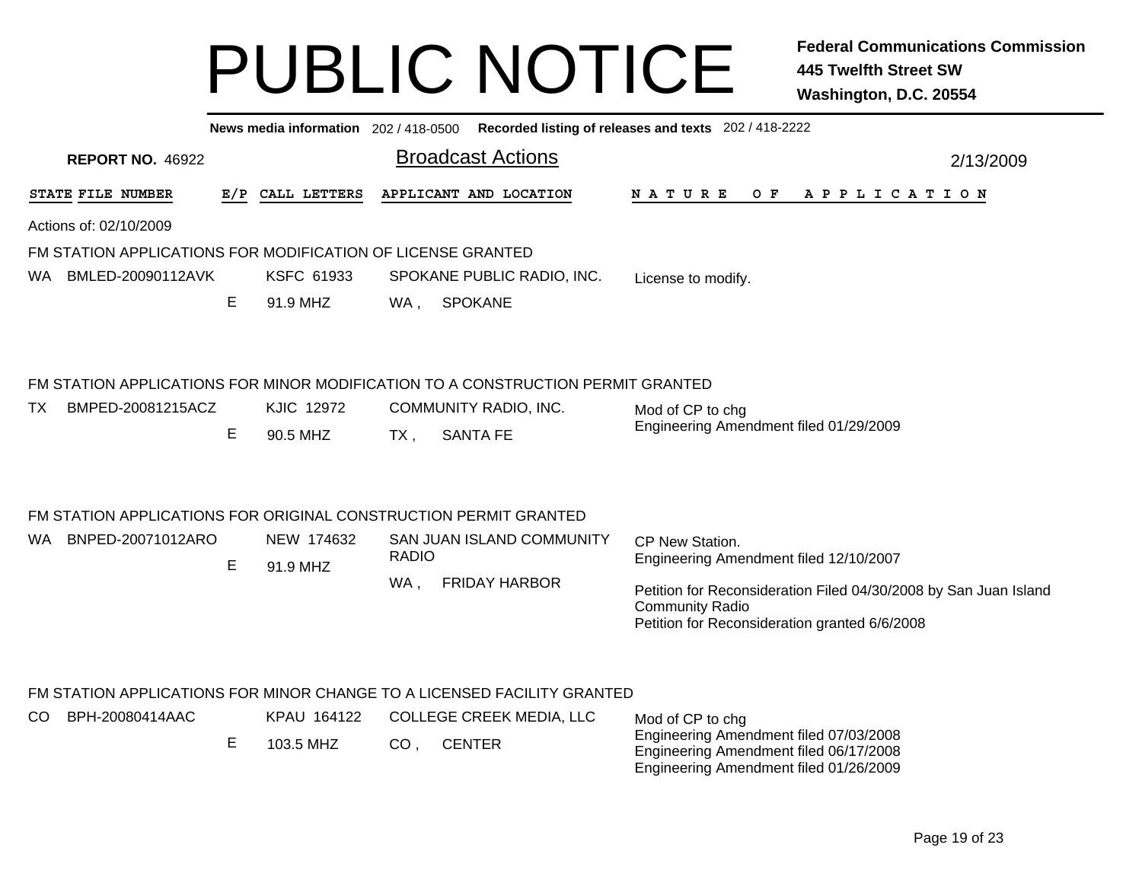|      |                         |   |                          | News media information 202 / 418-0500 Recorded listing of releases and texts 202 / 418-2222 |                                                                                                                                                |
|------|-------------------------|---|--------------------------|---------------------------------------------------------------------------------------------|------------------------------------------------------------------------------------------------------------------------------------------------|
|      | <b>REPORT NO. 46922</b> |   |                          | <b>Broadcast Actions</b>                                                                    | 2/13/2009                                                                                                                                      |
|      | STATE FILE NUMBER       |   | E/P CALL LETTERS         | APPLICANT AND LOCATION                                                                      | N A T U R E<br>O F<br>A P P L I C A T I O N                                                                                                    |
|      | Actions of: 02/10/2009  |   |                          |                                                                                             |                                                                                                                                                |
|      |                         |   |                          | FM STATION APPLICATIONS FOR MODIFICATION OF LICENSE GRANTED                                 |                                                                                                                                                |
|      | WA BMLED-20090112AVK    |   | <b>KSFC 61933</b>        | SPOKANE PUBLIC RADIO, INC.                                                                  | License to modify.                                                                                                                             |
|      |                         | E | 91.9 MHZ                 | <b>SPOKANE</b><br>WA,                                                                       |                                                                                                                                                |
|      |                         |   |                          | FM STATION APPLICATIONS FOR MINOR MODIFICATION TO A CONSTRUCTION PERMIT GRANTED             |                                                                                                                                                |
| TX.  | BMPED-20081215ACZ       |   | <b>KJIC 12972</b>        | COMMUNITY RADIO, INC.                                                                       | Mod of CP to chg                                                                                                                               |
|      |                         | E | 90.5 MHZ                 | <b>SANTA FE</b><br>$TX$ ,                                                                   | Engineering Amendment filed 01/29/2009                                                                                                         |
|      |                         |   |                          | FM STATION APPLICATIONS FOR ORIGINAL CONSTRUCTION PERMIT GRANTED                            |                                                                                                                                                |
| WA . | BNPED-20071012ARO       | E | NEW 174632<br>91.9 MHZ   | <b>SAN JUAN ISLAND COMMUNITY</b><br><b>RADIO</b>                                            | CP New Station.<br>Engineering Amendment filed 12/10/2007                                                                                      |
|      |                         |   |                          | <b>FRIDAY HARBOR</b><br>WA,                                                                 | Petition for Reconsideration Filed 04/30/2008 by San Juan Island<br><b>Community Radio</b><br>Petition for Reconsideration granted 6/6/2008    |
|      |                         |   |                          | FM STATION APPLICATIONS FOR MINOR CHANGE TO A LICENSED FACILITY GRANTED                     |                                                                                                                                                |
| CO.  | BPH-20080414AAC         | E | KPAU 164122<br>103.5 MHZ | COLLEGE CREEK MEDIA, LLC<br><b>CENTER</b><br>CO <sub>1</sub>                                | Mod of CP to chg<br>Engineering Amendment filed 07/03/2008<br>Engineering Amendment filed 06/17/2008<br>Engineering Amendment filed 01/26/2009 |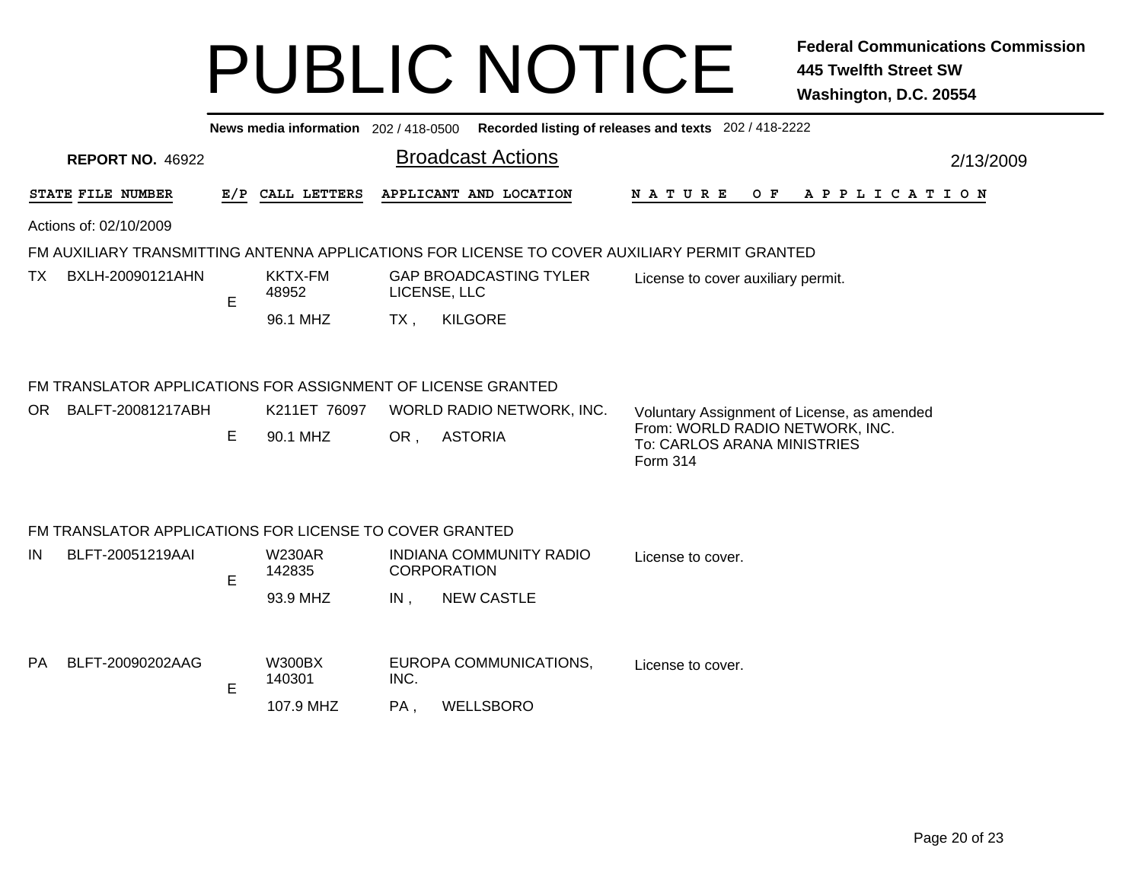|                                                                                              | News media information 202 / 418-0500 Recorded listing of releases and texts 202 / 418-2222 |   |                         |                          |                                               |  |                                                                            |  |  |  |  |  |  |
|----------------------------------------------------------------------------------------------|---------------------------------------------------------------------------------------------|---|-------------------------|--------------------------|-----------------------------------------------|--|----------------------------------------------------------------------------|--|--|--|--|--|--|
|                                                                                              | <b>REPORT NO. 46922</b>                                                                     |   |                         | <b>Broadcast Actions</b> |                                               |  | 2/13/2009                                                                  |  |  |  |  |  |  |
|                                                                                              | STATE FILE NUMBER                                                                           |   | E/P CALL LETTERS        |                          | APPLICANT AND LOCATION                        |  | <b>NATURE</b><br>O F<br>A P P L I C A T I O N                              |  |  |  |  |  |  |
|                                                                                              | Actions of: 02/10/2009                                                                      |   |                         |                          |                                               |  |                                                                            |  |  |  |  |  |  |
| FM AUXILIARY TRANSMITTING ANTENNA APPLICATIONS FOR LICENSE TO COVER AUXILIARY PERMIT GRANTED |                                                                                             |   |                         |                          |                                               |  |                                                                            |  |  |  |  |  |  |
| TX.                                                                                          | BXLH-20090121AHN                                                                            | E | <b>KKTX-FM</b><br>48952 |                          | <b>GAP BROADCASTING TYLER</b><br>LICENSE, LLC |  | License to cover auxiliary permit.                                         |  |  |  |  |  |  |
|                                                                                              |                                                                                             |   | 96.1 MHZ                | TX,                      | <b>KILGORE</b>                                |  |                                                                            |  |  |  |  |  |  |
|                                                                                              |                                                                                             |   |                         |                          |                                               |  |                                                                            |  |  |  |  |  |  |
|                                                                                              | FM TRANSLATOR APPLICATIONS FOR ASSIGNMENT OF LICENSE GRANTED                                |   |                         |                          |                                               |  |                                                                            |  |  |  |  |  |  |
| OR.                                                                                          | BALFT-20081217ABH                                                                           |   | K211ET 76097            |                          | WORLD RADIO NETWORK, INC.                     |  | Voluntary Assignment of License, as amended                                |  |  |  |  |  |  |
|                                                                                              |                                                                                             | E | 90.1 MHZ                | OR,                      | <b>ASTORIA</b>                                |  | From: WORLD RADIO NETWORK, INC.<br>To: CARLOS ARANA MINISTRIES<br>Form 314 |  |  |  |  |  |  |
|                                                                                              |                                                                                             |   |                         |                          |                                               |  |                                                                            |  |  |  |  |  |  |
|                                                                                              | FM TRANSLATOR APPLICATIONS FOR LICENSE TO COVER GRANTED                                     |   |                         |                          |                                               |  |                                                                            |  |  |  |  |  |  |
| IN                                                                                           | BLFT-20051219AAI                                                                            |   | <b>W230AR</b>           |                          | INDIANA COMMUNITY RADIO                       |  | License to cover.                                                          |  |  |  |  |  |  |
|                                                                                              |                                                                                             | E | 142835                  |                          | <b>CORPORATION</b>                            |  |                                                                            |  |  |  |  |  |  |
|                                                                                              |                                                                                             |   | 93.9 MHZ                | $IN$ ,                   | <b>NEW CASTLE</b>                             |  |                                                                            |  |  |  |  |  |  |
|                                                                                              |                                                                                             |   |                         |                          |                                               |  |                                                                            |  |  |  |  |  |  |
| PA.                                                                                          | BLFT-20090202AAG                                                                            | E | <b>W300BX</b><br>140301 | INC.                     | EUROPA COMMUNICATIONS,                        |  | License to cover.                                                          |  |  |  |  |  |  |
|                                                                                              |                                                                                             |   | 107.9 MHZ               | PA,                      | <b>WELLSBORO</b>                              |  |                                                                            |  |  |  |  |  |  |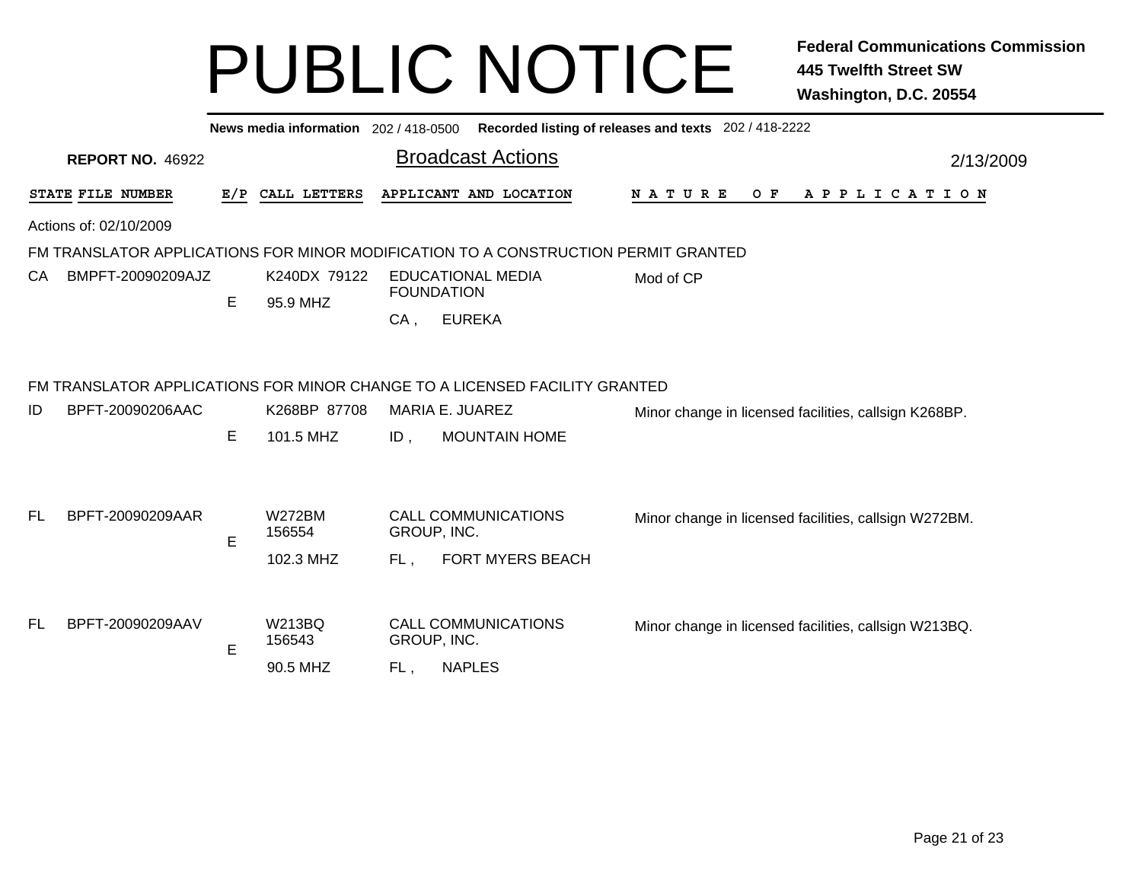|     |                                                                                    |    |                          |        | News media information 202 / 418-0500 Recorded listing of releases and texts 202 / 418-2222 |                                                       |  |                                                       |     |                       |  |  |  |  |           |  |
|-----|------------------------------------------------------------------------------------|----|--------------------------|--------|---------------------------------------------------------------------------------------------|-------------------------------------------------------|--|-------------------------------------------------------|-----|-----------------------|--|--|--|--|-----------|--|
|     | <b>REPORT NO. 46922</b>                                                            |    |                          |        | <b>Broadcast Actions</b>                                                                    |                                                       |  |                                                       |     |                       |  |  |  |  | 2/13/2009 |  |
|     | STATE FILE NUMBER                                                                  |    | E/P CALL LETTERS         |        | APPLICANT AND LOCATION                                                                      | N A T U R E                                           |  |                                                       | O F | A P P L I C A T I O N |  |  |  |  |           |  |
|     | Actions of: 02/10/2009                                                             |    |                          |        |                                                                                             |                                                       |  |                                                       |     |                       |  |  |  |  |           |  |
|     | FM TRANSLATOR APPLICATIONS FOR MINOR MODIFICATION TO A CONSTRUCTION PERMIT GRANTED |    |                          |        |                                                                                             |                                                       |  |                                                       |     |                       |  |  |  |  |           |  |
| СA  | BMPFT-20090209AJZ                                                                  | E. | K240DX 79122<br>95.9 MHZ |        | <b>EDUCATIONAL MEDIA</b><br><b>FOUNDATION</b>                                               | Mod of CP                                             |  |                                                       |     |                       |  |  |  |  |           |  |
|     |                                                                                    |    |                          | $CA$ , | <b>EUREKA</b>                                                                               |                                                       |  |                                                       |     |                       |  |  |  |  |           |  |
|     | FM TRANSLATOR APPLICATIONS FOR MINOR CHANGE TO A LICENSED FACILITY GRANTED         |    |                          |        |                                                                                             |                                                       |  |                                                       |     |                       |  |  |  |  |           |  |
| ID  | BPFT-20090206AAC                                                                   |    | K268BP 87708             |        | MARIA E. JUAREZ                                                                             | Minor change in licensed facilities, callsign K268BP. |  |                                                       |     |                       |  |  |  |  |           |  |
|     |                                                                                    | Е  | 101.5 MHZ                | $ID$ , | <b>MOUNTAIN HOME</b>                                                                        |                                                       |  |                                                       |     |                       |  |  |  |  |           |  |
| FL. | BPFT-20090209AAR                                                                   |    | <b>W272BM</b>            |        | <b>CALL COMMUNICATIONS</b>                                                                  |                                                       |  | Minor change in licensed facilities, callsign W272BM. |     |                       |  |  |  |  |           |  |
|     |                                                                                    | Е  | 156554                   |        | GROUP, INC.                                                                                 |                                                       |  |                                                       |     |                       |  |  |  |  |           |  |
|     |                                                                                    |    | 102.3 MHZ                | FL.    | <b>FORT MYERS BEACH</b>                                                                     |                                                       |  |                                                       |     |                       |  |  |  |  |           |  |
| FL. | BPFT-20090209AAV                                                                   |    | <b>W213BQ</b><br>156543  |        | <b>CALL COMMUNICATIONS</b><br>GROUP, INC.                                                   | Minor change in licensed facilities, callsign W213BQ. |  |                                                       |     |                       |  |  |  |  |           |  |
|     |                                                                                    | Е  | 90.5 MHZ                 | FL,    | <b>NAPLES</b>                                                                               |                                                       |  |                                                       |     |                       |  |  |  |  |           |  |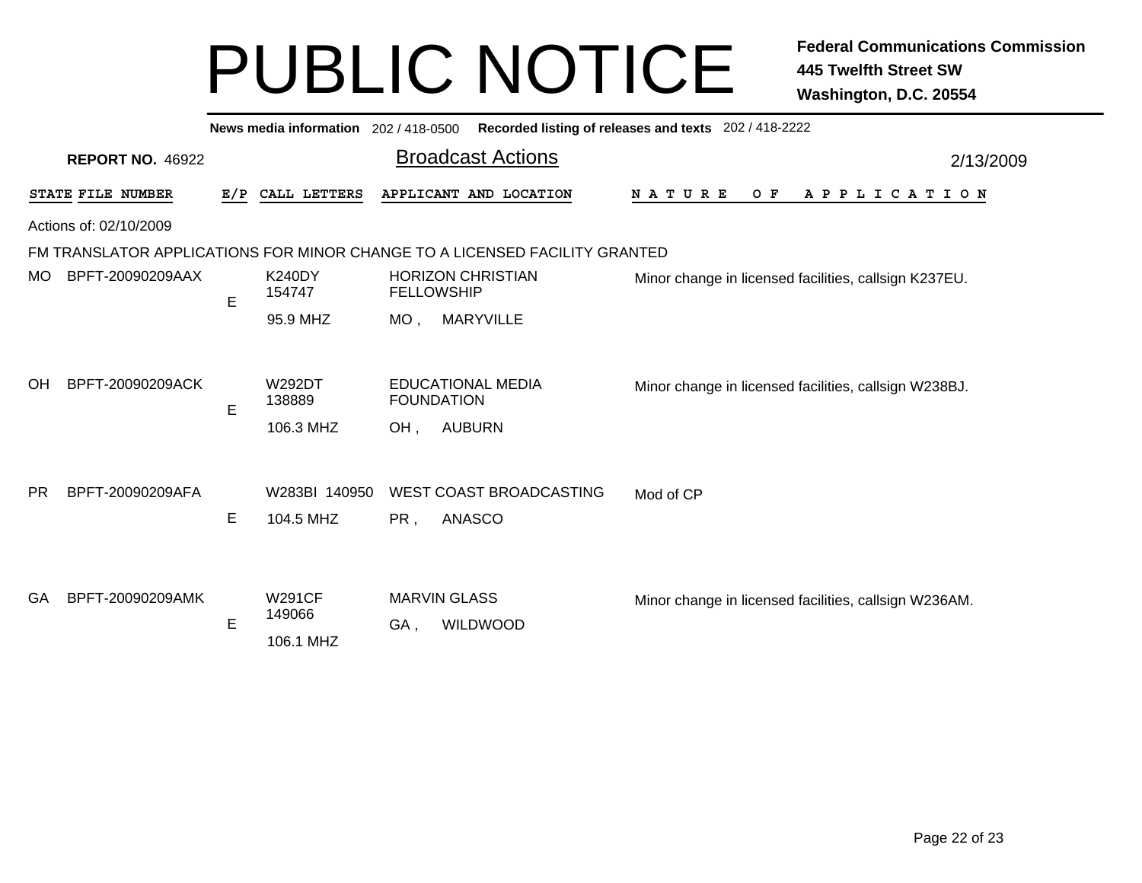|                        | News media information 202/418-0500<br>Recorded listing of releases and texts 202 / 418-2222 |     |                                      |                   |                                                                            |                                                       |           |  |  |  |  |  |  |
|------------------------|----------------------------------------------------------------------------------------------|-----|--------------------------------------|-------------------|----------------------------------------------------------------------------|-------------------------------------------------------|-----------|--|--|--|--|--|--|
|                        | <b>REPORT NO. 46922</b>                                                                      |     |                                      |                   | <b>Broadcast Actions</b>                                                   |                                                       | 2/13/2009 |  |  |  |  |  |  |
|                        | STATE FILE NUMBER                                                                            | E/P | CALL LETTERS                         |                   | APPLICANT AND LOCATION                                                     | <b>NATURE</b><br>O F<br>A P P L I C A T I O N         |           |  |  |  |  |  |  |
| Actions of: 02/10/2009 |                                                                                              |     |                                      |                   |                                                                            |                                                       |           |  |  |  |  |  |  |
|                        |                                                                                              |     |                                      |                   | FM TRANSLATOR APPLICATIONS FOR MINOR CHANGE TO A LICENSED FACILITY GRANTED |                                                       |           |  |  |  |  |  |  |
| MO.                    | BPFT-20090209AAX                                                                             | E   | <b>K240DY</b><br>154747              | <b>FELLOWSHIP</b> | <b>HORIZON CHRISTIAN</b>                                                   | Minor change in licensed facilities, callsign K237EU. |           |  |  |  |  |  |  |
|                        |                                                                                              |     | 95.9 MHZ                             | $MO$ ,            | <b>MARYVILLE</b>                                                           |                                                       |           |  |  |  |  |  |  |
| <b>OH</b>              | BPFT-20090209ACK                                                                             | E   | <b>W292DT</b><br>138889<br>106.3 MHZ | OH,               | <b>EDUCATIONAL MEDIA</b><br><b>FOUNDATION</b><br><b>AUBURN</b>             | Minor change in licensed facilities, callsign W238BJ. |           |  |  |  |  |  |  |
| <b>PR</b>              | BPFT-20090209AFA                                                                             | E   | W283BI 140950<br>104.5 MHZ           | PR,               | WEST COAST BROADCASTING<br><b>ANASCO</b>                                   | Mod of CP                                             |           |  |  |  |  |  |  |
| GA                     | BPFT-20090209AMK                                                                             | E   | <b>W291CF</b><br>149066<br>106.1 MHZ | GA,               | <b>MARVIN GLASS</b><br>WILDWOOD                                            | Minor change in licensed facilities, callsign W236AM. |           |  |  |  |  |  |  |